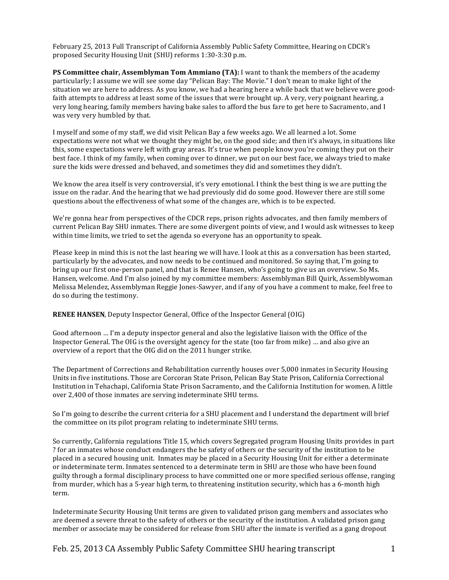February 25, 2013 Full Transcript of California Assembly Public Safety Committee, Hearing on CDCR's proposed Security Housing Unit (SHU) reforms 1:30-3:30 p.m.

PS Committee chair, Assemblyman Tom Ammiano (TA): I want to thank the members of the academy particularly; I assume we will see some day "Pelican Bay: The Movie." I don't mean to make light of the situation we are here to address. As you know, we had a hearing here a while back that we believe were goodfaith attempts to address at least some of the issues that were brought up. A very, very poignant hearing, a very long hearing, family members having bake sales to afford the bus fare to get here to Sacramento, and I was very very humbled by that.

I myself and some of my staff, we did visit Pelican Bay a few weeks ago. We all learned a lot. Some expectations were not what we thought they might be, on the good side; and then it's always, in situations like this, some expectations were left with gray areas. It's true when people know you're coming they put on their best face. I think of my family, when coming over to dinner, we put on our best face, we always tried to make sure the kids were dressed and behaved, and sometimes they did and sometimes they didn't.

We know the area itself is very controversial, it's very emotional. I think the best thing is we are putting the issue on the radar. And the hearing that we had previously did do some good. However there are still some questions about the effectiveness of what some of the changes are, which is to be expected.

We're gonna hear from perspectives of the CDCR reps, prison rights advocates, and then family members of current Pelican Bay SHU inmates. There are some divergent points of view, and I would ask witnesses to keep within time limits, we tried to set the agenda so everyone has an opportunity to speak.

Please keep in mind this is not the last hearing we will have. I look at this as a conversation has been started, particularly by the advocates, and now needs to be continued and monitored. So saying that, I'm going to bring up our first one-person panel, and that is Renee Hansen, who's going to give us an overview. So Ms. Hansen, welcome. And I'm also joined by my committee members: Assemblyman Bill Quirk, Assemblywoman Melissa Melendez, Assemblyman Reggie Jones-Sawyer, and if any of you have a comment to make, feel free to do so during the testimony.

**RENEE HANSEN**, Deputy Inspector General, Office of the Inspector General (OIG)

Good afternoon ... I'm a deputy inspector general and also the legislative liaison with the Office of the Inspector General. The OIG is the oversight agency for the state (too far from mike) … and also give an overview of a report that the OIG did on the 2011 hunger strike.

The Department of Corrections and Rehabilitation currently houses over 5,000 inmates in Security Housing Units in five institutions. Those are Corcoran State Prison, Pelican Bay State Prison, California Correctional Institution in Tehachapi, California State Prison Sacramento, and the California Institution for women. A little over 2,400 of those inmates are serving indeterminate SHU terms.

So I'm going to describe the current criteria for a SHU placement and I understand the department will brief the committee on its pilot program relating to indeterminate SHU terms.

So currently, California regulations Title 15, which covers Segregated program Housing Units provides in part ? for an inmates whose conduct endangers the he safety of others or the security of the institution to be placed in a secured housing unit. Inmates may be placed in a Security Housing Unit for either a determinate or indeterminate term. Inmates sentenced to a determinate term in SHU are those who have been found guilty through a formal disciplinary process to have committed one or more specified serious offense, ranging from murder, which has a 5-year high term, to threatening institution security, which has a 6-month high term.

Indeterminate Security Housing Unit terms are given to validated prison gang members and associates who are deemed a severe threat to the safety of others or the security of the institution. A validated prison gang member or associate may be considered for release from SHU after the inmate is verified as a gang dropout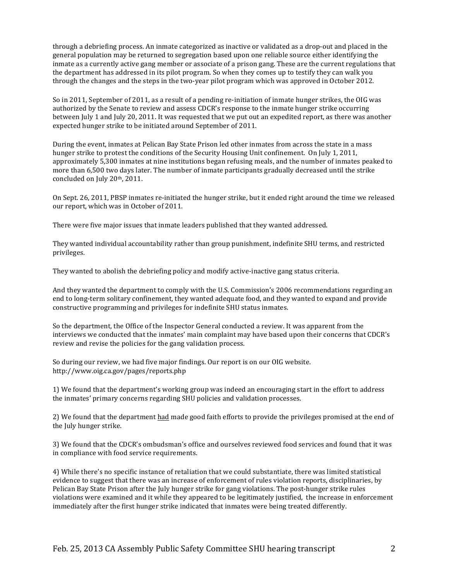through a debriefing process. An inmate categorized as inactive or validated as a drop-out and placed in the general population may be returned to segregation based upon one reliable source either identifying the inmate as a currently active gang member or associate of a prison gang. These are the current regulations that the department has addressed in its pilot program. So when they comes up to testify they can walk you through the changes and the steps in the two-year pilot program which was approved in October 2012.

So in 2011, September of 2011, as a result of a pending re-initiation of inmate hunger strikes, the OIG was authorized by the Senate to review and assess CDCR's response to the inmate hunger strike occurring between July 1 and July 20, 2011. It was requested that we put out an expedited report, as there was another expected hunger strike to be initiated around September of 2011.

During the event, inmates at Pelican Bay State Prison led other inmates from across the state in a mass hunger strike to protest the conditions of the Security Housing Unit confinement. On July 1, 2011, approximately 5,300 inmates at nine institutions began refusing meals, and the number of inmates peaked to more than 6,500 two days later. The number of inmate participants gradually decreased until the strike concluded on July 20th, 2011.

On Sept. 26, 2011, PBSP inmates re-initiated the hunger strike, but it ended right around the time we released our report, which was in October of 2011.

There were five major issues that inmate leaders published that they wanted addressed.

They wanted individual accountability rather than group punishment, indefinite SHU terms, and restricted privileges.

They wanted to abolish the debriefing policy and modify active-inactive gang status criteria.

And they wanted the department to comply with the U.S. Commission's 2006 recommendations regarding an end to long-term solitary confinement, they wanted adequate food, and they wanted to expand and provide constructive programming and privileges for indefinite SHU status inmates.

So the department, the Office of the Inspector General conducted a review. It was apparent from the interviews we conducted that the inmates' main complaint may have based upon their concerns that CDCR's review and revise the policies for the gang validation process.

So during our review, we had five major findings. Our report is on our OIG website. http://www.oig.ca.gov/pages/reports.php

1) We found that the department's working group was indeed an encouraging start in the effort to address the inmates' primary concerns regarding SHU policies and validation processes.

2) We found that the department had made good faith efforts to provide the privileges promised at the end of the July hunger strike.

3) We found that the CDCR's ombudsman's office and ourselves reviewed food services and found that it was in compliance with food service requirements.

4) While there's no specific instance of retaliation that we could substantiate, there was limited statistical evidence to suggest that there was an increase of enforcement of rules violation reports, disciplinaries, by Pelican Bay State Prison after the July hunger strike for gang violations. The post-hunger strike rules violations were examined and it while they appeared to be legitimately justified, the increase in enforcement immediately after the first hunger strike indicated that inmates were being treated differently.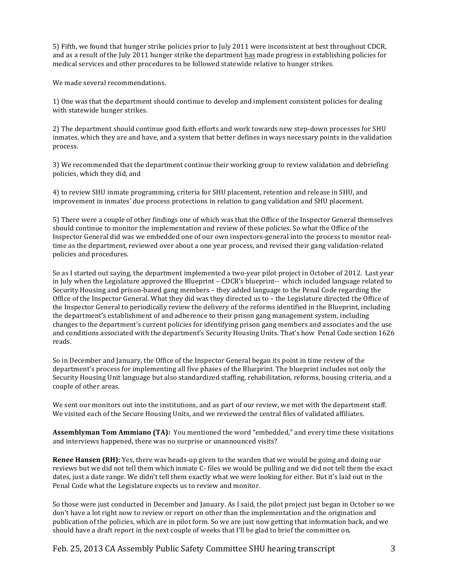5) Fifth, we found that hunger strike policies prior to July 2011 were inconsistent at best throughout CDCR, and as a result of the July 2011 hunger strike the department has made progress in establishing policies for medical services and other procedures to be followed statewide relative to hunger strikes.

We made several recommendations.

1) One was that the department should continue to develop and implement consistent policies for dealing with statewide hunger strikes.

2) The department should continue good faith efforts and work towards new step-down processes for SHU inmates, which they are and have, and a system that better defines in ways necessary points in the validation process.

3) We recommended that the department continue their working group to review validation and debriefing policies, which they did, and

4) to review SHU inmate programming, criteria for SHU placement, retention and release in SHU, and improvement in inmates' due process protections in relation to gang validation and SHU placement.

5) There were a couple of other findings one of which was that the Office of the Inspector General themselves should continue to monitor the implementation and review of these policies. So what the Office of the Inspector General did was we embedded one of our own inspectors-general into the process to monitor realtime as the department, reviewed over about a one year process, and revised their gang validation-related policies and procedures.

So as I started out saying, the department implemented a two-year pilot project in October of 2012. Last year in July when the Legislature approved the Blueprint – CDCR's blueprint-- which included language related to Security Housing and prison-based gang members – they added language to the Penal Code regarding the Office of the Inspector General. What they did was they directed us to – the Legislature directed the Office of the Inspector General to periodically review the delivery of the reforms identified in the Blueprint, including the department's establishment of and adherence to their prison gang management system, including changes to the department's current policies for identifying prison gang members and associates and the use and conditions associated with the department's Security Housing Units. That's how Penal Code section 1626 reads.

So in December and January, the Office of the Inspector General began its point in time review of the department's process for implementing all five phases of the Blueprint. The blueprint includes not only the Security Housing Unit language but also standardized staffing, rehabilitation, reforms, housing criteria, and a couple of other areas.

We sent our monitors out into the institutions, and as part of our review, we met with the department staff. We visited each of the Secure Housing Units, and we reviewed the central files of validated affiliates.

**Assemblyman Tom Ammiano (TA):** You mentioned the word "embedded," and every time these visitations and interviews happened, there was no surprise or unannounced visits?

**Renee Hansen (RH):** Yes, there was heads-up given to the warden that we would be going and doing our reviews but we did not tell them which inmate C- files we would be pulling and we did not tell them the exact dates, just a date range. We didn't tell them exactly what we were looking for either. But it's laid out in the Penal Code what the Legislature expects us to review and monitor.

So those were just conducted in December and January. As I said, the pilot project just began in October so we don't have a lot right now to review or report on other than the implementation and the origination and publication of the policies, which are in pilot form. So we are just now getting that information back, and we should have a draft report in the next couple of weeks that I'll be glad to brief the committee on.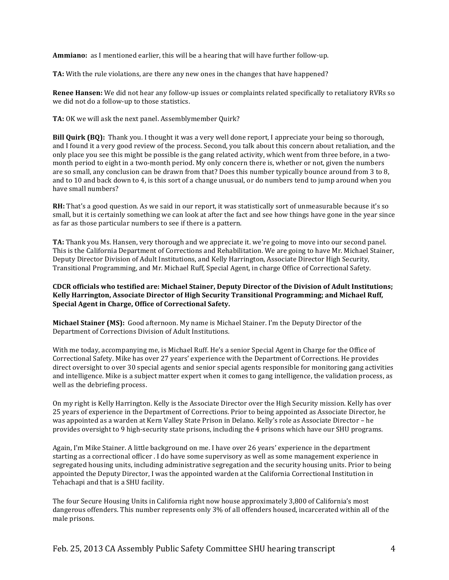**Ammiano:** as I mentioned earlier, this will be a hearing that will have further follow-up.

**TA:** With the rule violations, are there any new ones in the changes that have happened?

**Renee Hansen:** We did not hear any follow-up issues or complaints related specifically to retaliatory RVRs so we did not do a follow-up to those statistics.

TA: OK we will ask the next panel. Assemblymember Quirk?

**Bill Quirk (BQ):** Thank you. I thought it was a very well done report, I appreciate your being so thorough, and I found it a very good review of the process. Second, you talk about this concern about retaliation, and the only place you see this might be possible is the gang related activity, which went from three before, in a twomonth period to eight in a two-month period. My only concern there is, whether or not, given the numbers are so small, any conclusion can be drawn from that? Does this number typically bounce around from 3 to 8, and to 10 and back down to 4, is this sort of a change unusual, or do numbers tend to jump around when you have small numbers?

**RH:** That's a good question. As we said in our report, it was statistically sort of unmeasurable because it's so small, but it is certainly something we can look at after the fact and see how things have gone in the year since as far as those particular numbers to see if there is a pattern.

TA: Thank you Ms. Hansen, very thorough and we appreciate it. we're going to move into our second panel. This is the California Department of Corrections and Rehabilitation. We are going to have Mr. Michael Stainer, Deputy Director Division of Adult Institutions, and Kelly Harrington, Associate Director High Security, Transitional Programming, and Mr. Michael Ruff, Special Agent, in charge Office of Correctional Safety.

# **CDCR officials who testified are: Michael Stainer, Deputy Director of the Division of Adult Institutions;** Kelly Harrington, Associate Director of High Security Transitional Programming; and Michael Ruff, **Special Agent in Charge, Office of Correctional Safety.**

**Michael Stainer (MS):** Good afternoon. My name is Michael Stainer. I'm the Deputy Director of the Department of Corrections Division of Adult Institutions.

With me today, accompanying me, is Michael Ruff. He's a senior Special Agent in Charge for the Office of Correctional Safety. Mike has over 27 years' experience with the Department of Corrections. He provides direct oversight to over 30 special agents and senior special agents responsible for monitoring gang activities and intelligence. Mike is a subject matter expert when it comes to gang intelligence, the validation process, as well as the debriefing process.

On my right is Kelly Harrington. Kelly is the Associate Director over the High Security mission. Kelly has over 25 years of experience in the Department of Corrections. Prior to being appointed as Associate Director, he was appointed as a warden at Kern Valley State Prison in Delano. Kelly's role as Associate Director – he provides oversight to 9 high-security state prisons, including the 4 prisons which have our SHU programs.

Again, I'm Mike Stainer. A little background on me. I have over 26 years' experience in the department starting as a correctional officer. I do have some supervisory as well as some management experience in segregated housing units, including administrative segregation and the security housing units. Prior to being appointed the Deputy Director, I was the appointed warden at the California Correctional Institution in Tehachapi and that is a SHU facility.

The four Secure Housing Units in California right now house approximately 3,800 of California's most dangerous offenders. This number represents only 3% of all offenders housed, incarcerated within all of the male prisons.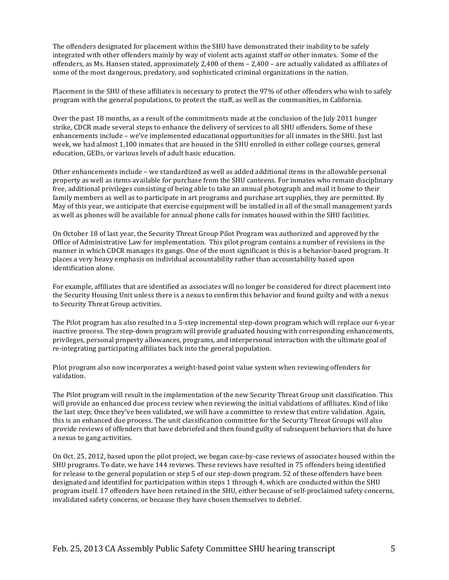The offenders designated for placement within the SHU have demonstrated their inability to be safely integrated with other offenders mainly by way of violent acts against staff or other inmates. Some of the offenders, as Ms. Hansen stated, approximately 2,400 of them – 2,400 – are actually validated as affiliates of some of the most dangerous, predatory, and sophisticated criminal organizations in the nation.

Placement in the SHU of these affiliates is necessary to protect the 97% of other offenders who wish to safely program with the general populations, to protect the staff, as well as the communities, in California.

Over the past 18 months, as a result of the commitments made at the conclusion of the July 2011 hunger strike, CDCR made several steps to enhance the delivery of services to all SHU offenders. Some of these enhancements include – we've implemented educational opportunities for all inmates in the SHU. Just last week, we had almost 1,100 inmates that are housed in the SHU enrolled in either college courses, general education, GEDs, or various levels of adult basic education.

Other enhancements include – we standardized as well as added additional items in the allowable personal property as well as items available for purchase from the SHU canteens. For inmates who remain disciplinary free, additional privileges consisting of being able to take an annual photograph and mail it home to their family members as well as to participate in art programs and purchase art supplies, they are permitted. By May of this year, we anticipate that exercise equipment will be installed in all of the small management yards as well as phones will be available for annual phone calls for inmates housed within the SHU facilities.

On October 18 of last year, the Security Threat Group Pilot Program was authorized and approved by the Office of Administrative Law for implementation. This pilot program contains a number of revisions in the manner in which CDCR manages its gangs. One of the most significant is this is a behavior-based program. It places a very heavy emphasis on individual accountability rather than accountability based upon identification alone

For example, affiliates that are identified as associates will no longer be considered for direct placement into the Security Housing Unit unless there is a nexus to confirm this behavior and found guilty and with a nexus to Security Threat Group activities.

The Pilot program has also resulted in a 5-step incremental step-down program which will replace our 6-year inactive process. The step-down program will provide graduated housing with corresponding enhancements, privileges, personal property allowances, programs, and interpersonal interaction with the ultimate goal of re-integrating participating affiliates back into the general population.

Pilot program also now incorporates a weight-based point value system when reviewing offenders for validation.

The Pilot program will result in the implementation of the new Security Threat Group unit classification. This will provide an enhanced due process review when reviewing the initial validations of affiliates. Kind of like the last step; Once they've been validated, we will have a committee to review that entire validation. Again, this is an enhanced due process. The unit classification committee for the Security Threat Groups will also provide reviews of offenders that have debriefed and then found guilty of subsequent behaviors that do have a nexus to gang activities.

On Oct. 25, 2012, based upon the pilot project, we began case-by-case reviews of associates housed within the SHU programs. To date, we have 144 reviews. These reviews have resulted in 75 offenders being identified for release to the general population or step 5 of our step-down program. 52 of these offenders have been designated and identified for participation within steps 1 through 4, which are conducted within the SHU program itself. 17 offenders have been retained in the SHU, either because of self-proclaimed safety concerns, invalidated safety concerns, or because they have chosen themselves to debrief.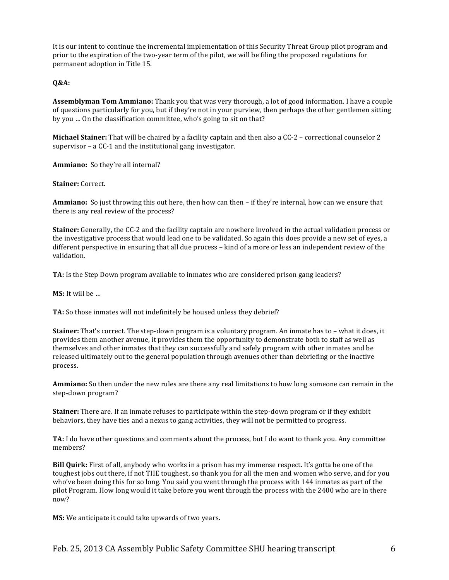It is our intent to continue the incremental implementation of this Security Threat Group pilot program and prior to the expiration of the two-year term of the pilot, we will be filing the proposed regulations for permanent adoption in Title 15.

# **Q&A:**

**Assemblyman Tom Ammiano:** Thank you that was very thorough, a lot of good information. I have a couple of questions particularly for you, but if they're not in your purview, then perhaps the other gentlemen sitting by you ... On the classification committee, who's going to sit on that?

**Michael Stainer:** That will be chaired by a facility captain and then also a CC-2 – correctional counselor 2 supervisor – a  $CC-1$  and the institutional gang investigator.

Ammiano: So they're all internal?

**Stainer:** Correct.

**Ammiano:** So just throwing this out here, then how can then – if they're internal, how can we ensure that there is any real review of the process?

**Stainer:** Generally, the CC-2 and the facility captain are nowhere involved in the actual validation process or the investigative process that would lead one to be validated. So again this does provide a new set of eyes, a different perspective in ensuring that all due process – kind of a more or less an independent review of the validation.

**TA:** Is the Step Down program available to inmates who are considered prison gang leaders?

**MS:** It will be ...

TA: So those inmates will not indefinitely be housed unless they debrief?

**Stainer:** That's correct. The step-down program is a voluntary program. An inmate has to – what it does, it provides them another avenue, it provides them the opportunity to demonstrate both to staff as well as themselves and other inmates that they can successfully and safely program with other inmates and be released ultimately out to the general population through avenues other than debriefing or the inactive process.

**Ammiano:** So then under the new rules are there any real limitations to how long someone can remain in the step-down program?

**Stainer:** There are. If an inmate refuses to participate within the step-down program or if they exhibit behaviors, they have ties and a nexus to gang activities, they will not be permitted to progress.

TA: I do have other questions and comments about the process, but I do want to thank you. Any committee members?

**Bill Quirk:** First of all, anybody who works in a prison has my immense respect. It's gotta be one of the toughest jobs out there, if not THE toughest, so thank you for all the men and women who serve, and for you who've been doing this for so long. You said you went through the process with 144 inmates as part of the pilot Program. How long would it take before you went through the process with the 2400 who are in there now?

**MS:** We anticipate it could take upwards of two years.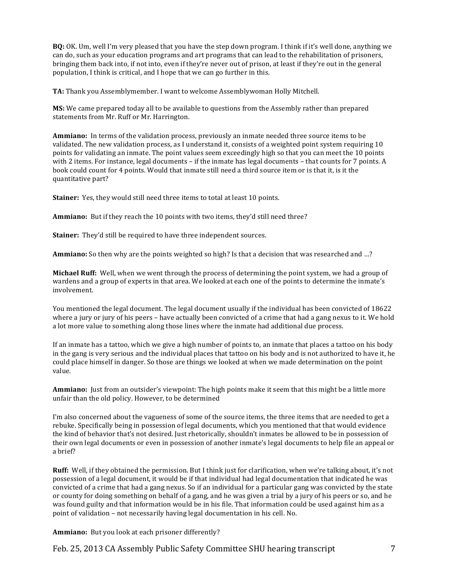**BO:** OK. Um, well I'm very pleased that you have the step down program. I think if it's well done, anything we can do, such as your education programs and art programs that can lead to the rehabilitation of prisoners, bringing them back into, if not into, even if they're never out of prison, at least if they're out in the general population, I think is critical, and I hope that we can go further in this.

**TA:** Thank you Assemblymember. I want to welcome Assemblywoman Holly Mitchell.

**MS:** We came prepared today all to be available to questions from the Assembly rather than prepared statements from Mr. Ruff or Mr. Harrington.

**Ammiano:** In terms of the validation process, previously an inmate needed three source items to be validated. The new validation process, as I understand it, consists of a weighted point system requiring 10 points for validating an inmate. The point values seem exceedingly high so that you can meet the 10 points with 2 items. For instance, legal documents – if the inmate has legal documents – that counts for 7 points. A book could count for 4 points. Would that inmate still need a third source item or is that it, is it the quantitative part?

**Stainer:** Yes, they would still need three items to total at least 10 points.

**Ammiano:** But if they reach the 10 points with two items, they'd still need three?

**Stainer:** They'd still be required to have three independent sources.

**Ammiano:** So then why are the points weighted so high? Is that a decision that was researched and …?

**Michael Ruff:** Well, when we went through the process of determining the point system, we had a group of wardens and a group of experts in that area. We looked at each one of the points to determine the inmate's involvement.

You mentioned the legal document. The legal document usually if the individual has been convicted of 18622 where a jury or jury of his peers – have actually been convicted of a crime that had a gang nexus to it. We hold a lot more value to something along those lines where the inmate had additional due process.

If an inmate has a tattoo, which we give a high number of points to, an inmate that places a tattoo on his body in the gang is very serious and the individual places that tattoo on his body and is not authorized to have it, he could place himself in danger. So those are things we looked at when we made determination on the point value.

**Ammiano:** Just from an outsider's viewpoint: The high points make it seem that this might be a little more unfair than the old policy. However, to be determined

I'm also concerned about the vagueness of some of the source items, the three items that are needed to get a rebuke. Specifically being in possession of legal documents, which you mentioned that that would evidence the kind of behavior that's not desired. Just rhetorically, shouldn't inmates be allowed to be in possession of their own legal documents or even in possession of another inmate's legal documents to help file an appeal or a brief?

**Ruff:** Well, if they obtained the permission. But I think just for clarification, when we're talking about, it's not possession of a legal document, it would be if that individual had legal documentation that indicated he was convicted of a crime that had a gang nexus. So if an individual for a particular gang was convicted by the state or county for doing something on behalf of a gang, and he was given a trial by a jury of his peers or so, and he was found guilty and that information would be in his file. That information could be used against him as a point of validation – not necessarily having legal documentation in his cell. No.

Ammiano: But you look at each prisoner differently?

Feb. 25, 2013 CA Assembly Public Safety Committee SHU hearing transcript 7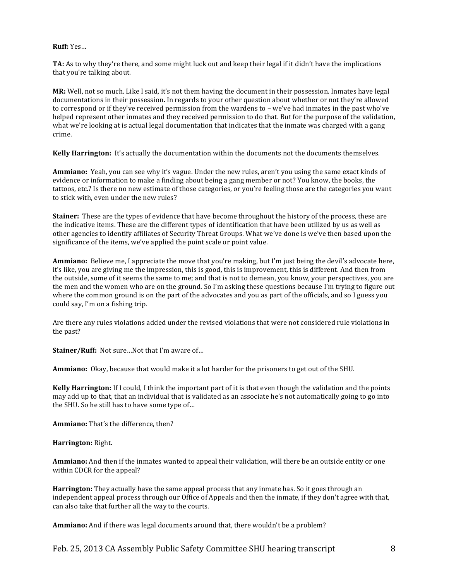#### **Ruff:#**Yes…

**TA:** As to why they're there, and some might luck out and keep their legal if it didn't have the implications that you're talking about.

**MR:** Well, not so much. Like I said, it's not them having the document in their possession. Inmates have legal documentations in their possession. In regards to your other question about whether or not they're allowed to correspond or if they've received permission from the wardens to – we've had inmates in the past who've helped represent other inmates and they received permission to do that. But for the purpose of the validation, what we're looking at is actual legal documentation that indicates that the inmate was charged with a gang crime.

**Kelly Harrington:** It's actually the documentation within the documents not the documents themselves.

**Ammiano:** Yeah, you can see why it's vague. Under the new rules, aren't you using the same exact kinds of evidence or information to make a finding about being a gang member or not? You know, the books, the tattoos, etc.? Is there no new estimate of those categories, or you're feeling those are the categories you want to stick with, even under the new rules?

**Stainer:** These are the types of evidence that have become throughout the history of the process, these are the indicative items. These are the different types of identification that have been utilized by us as well as other agencies to identify affiliates of Security Threat Groups. What we've done is we've then based upon the significance of the items, we've applied the point scale or point value.

**Ammiano:** Believe me, I appreciate the move that you're making, but I'm just being the devil's advocate here, it's like, you are giving me the impression, this is good, this is improvement, this is different. And then from the outside, some of it seems the same to me; and that is not to demean, you know, your perspectives, you are the men and the women who are on the ground. So I'm asking these questions because I'm trying to figure out where the common ground is on the part of the advocates and you as part of the officials, and so I guess you could say, I'm on a fishing trip.

Are there any rules violations added under the revised violations that were not considered rule violations in the past?

**Stainer/Ruff:** Not sure...Not that I'm aware of...

**Ammiano:** Okay, because that would make it a lot harder for the prisoners to get out of the SHU.

**Kelly Harrington:** If I could, I think the important part of it is that even though the validation and the points may add up to that, that an individual that is validated as an associate he's not automatically going to go into the SHU. So he still has to have some type of...

Ammiano: That's the difference, then?

#### **Harrington: Right.**

**Ammiano:** And then if the inmates wanted to appeal their validation, will there be an outside entity or one within CDCR for the appeal?

**Harrington:** They actually have the same appeal process that any inmate has. So it goes through an independent appeal process through our Office of Appeals and then the inmate, if they don't agree with that, can also take that further all the way to the courts.

**Ammiano:** And if there was legal documents around that, there wouldn't be a problem?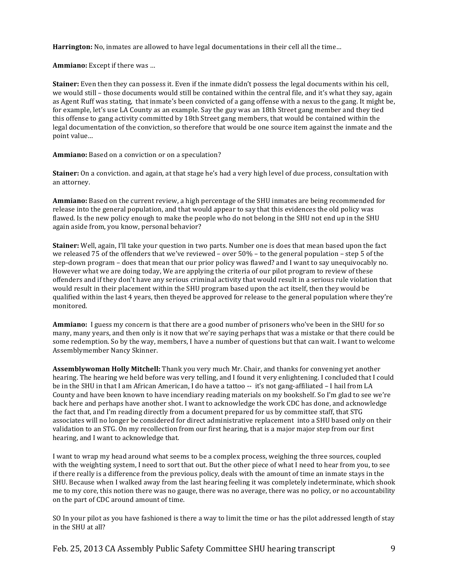**Harrington:** No, inmates are allowed to have legal documentations in their cell all the time...

**Ammiano:** Except if there was ...

**Stainer:** Even then they can possess it. Even if the inmate didn't possess the legal documents within his cell, we would still – those documents would still be contained within the central file, and it's what they say, again as Agent Ruff was stating, that inmate's been convicted of a gang offense with a nexus to the gang. It might be, for example, let's use LA County as an example. Say the guy was an 18th Street gang member and they tied this offense to gang activity committed by 18th Street gang members, that would be contained within the legal documentation of the conviction, so therefore that would be one source item against the inmate and the point value...

Ammiano: Based on a conviction or on a speculation?

**Stainer:** On a conviction. and again, at that stage he's had a very high level of due process, consultation with an attorney.

**Ammiano:** Based on the current review, a high percentage of the SHU inmates are being recommended for release into the general population, and that would appear to say that this evidences the old policy was flawed. Is the new policy enough to make the people who do not belong in the SHU not end up in the SHU again aside from, you know, personal behavior?

**Stainer:** Well, again, I'll take your question in two parts. Number one is does that mean based upon the fact we released 75 of the offenders that we've reviewed – over  $50\%$  – to the general population – step 5 of the step-down program – does that mean that our prior policy was flawed? and I want to say unequivocably no. However what we are doing today. We are applying the criteria of our pilot program to review of these offenders and if they don't have any serious criminal activity that would result in a serious rule violation that would result in their placement within the SHU program based upon the act itself, then they would be qualified within the last 4 years, then theyed be approved for release to the general population where they're monitored.

**Ammiano:** I guess my concern is that there are a good number of prisoners who've been in the SHU for so many, many years, and then only is it now that we're saying perhaps that was a mistake or that there could be some redemption. So by the way, members, I have a number of questions but that can wait. I want to welcome Assemblymember Nancy Skinner.

**Assemblywoman Holly Mitchell:** Thank you very much Mr. Chair, and thanks for convening yet another hearing. The hearing we held before was very telling, and I found it very enlightening. I concluded that I could be in the SHU in that I am African American, I do have a tattoo -- it's not gang-affiliated – I hail from LA County and have been known to have incendiary reading materials on my bookshelf. So I'm glad to see we're back here and perhaps have another shot. I want to acknowledge the work CDC has done, and acknowledge the fact that, and I'm reading directly from a document prepared for us by committee staff, that STG associates will no longer be considered for direct administrative replacement into a SHU based only on their validation to an STG. On my recollection from our first hearing, that is a major major step from our first hearing, and I want to acknowledge that.

I want to wrap my head around what seems to be a complex process, weighing the three sources, coupled with the weighting system, I need to sort that out. But the other piece of what I need to hear from you, to see if there really is a difference from the previous policy, deals with the amount of time an inmate stays in the SHU. Because when I walked away from the last hearing feeling it was completely indeterminate, which shook me to my core, this notion there was no gauge, there was no average, there was no policy, or no accountability on the part of CDC around amount of time.

SO In your pilot as you have fashioned is there a way to limit the time or has the pilot addressed length of stay in the SHU at all?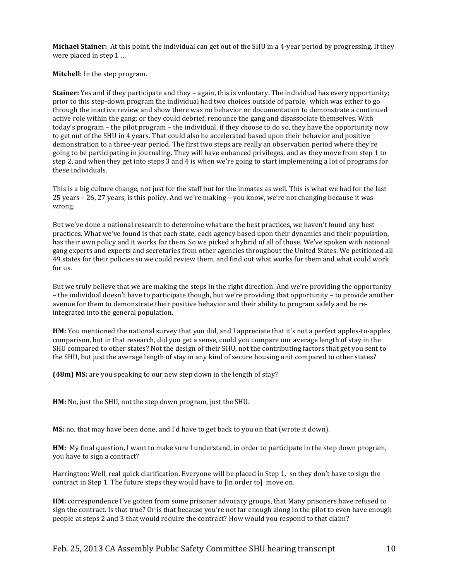**Michael Stainer:** At this point, the individual can get out of the SHU in a 4-year period by progressing. If they were placed in step  $1 ...$ 

**Mitchell:** In the step program.

**Stainer:** Yes and if they participate and they – again, this is voluntary. The individual has every opportunity; prior to this step-down program the individual had two choices outside of parole, which was either to go through the inactive review and show there was no behavior or documentation to demonstrate a continued active role within the gang; or they could debrief, renounce the gang and disassociate themselves. With today's program – the pilot program – the individual, if they choose to do so, they have the opportunity now to get out of the SHU in 4 years. That could also be accelerated based upon their behavior and positive demonstration to a three-year period. The first two steps are really an observation period where they're going to be participating in journaling. They will have enhanced privileges, and as they move from step 1 to step 2, and when they get into steps 3 and 4 is when we're going to start implementing a lot of programs for these individuals.

This is a big culture change, not just for the staff but for the inmates as well. This is what we had for the last 25 years – 26, 27 years, is this policy. And we're making – you know, we're not changing because it was wrong.

But we've done a national research to determine what are the best practices, we haven't found any best practices. What we've found is that each state, each agency based upon their dynamics and their population, has their own policy and it works for them. So we picked a hybrid of all of those. We've spoken with national gang experts and experts and secretaries from other agencies throughout the United States. We petitioned all 49 states for their policies so we could review them, and find out what works for them and what could work  $for us.$ 

But we truly believe that we are making the steps in the right direction. And we're providing the opportunity – the individual doesn't have to participate though, but we're providing that opportunity – to provide another avenue for them to demonstrate their positive behavior and their ability to program safely and be reintegrated into the general population.

**HM:** You mentioned the national survey that you did, and I appreciate that it's not a perfect apples-to-apples comparison, but in that research, did you get a sense, could you compare our average length of stay in the SHU compared to other states? Not the design of their SHU, not the contributing factors that get you sent to the SHU, but just the average length of stay in any kind of secure housing unit compared to other states?

**(48m) MS:** are you speaking to our new step down in the length of stay?

**HM:** No, just the SHU, not the step down program, just the SHU.

**MS:** no, that may have been done, and I'd have to get back to you on that (wrote it down).

**HM:** My final question, I want to make sure I understand, in order to participate in the step down program, you have to sign a contract?

Harrington: Well, real quick clarification. Everyone will be placed in Step 1, so they don't have to sign the contract in Step 1. The future steps they would have to [in order to] move on.

**HM:** correspondence I've gotten from some prisoner advocacy groups, that Many prisoners have refused to sign the contract. Is that true? Or is that because you're not far enough along in the pilot to even have enough people at steps 2 and 3 that would require the contract? How would you respond to that claim?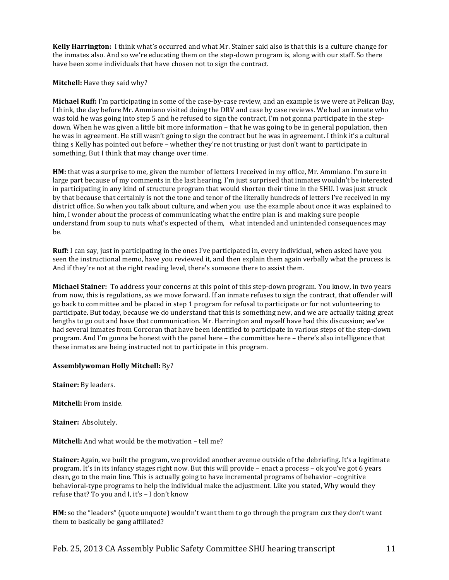**Kelly Harrington:** I think what's occurred and what Mr. Stainer said also is that this is a culture change for the inmates also. And so we're educating them on the step-down program is, along with our staff. So there have been some individuals that have chosen not to sign the contract.

# **Mitchell:** Have they said why?

**Michael Ruff:** I'm participating in some of the case-by-case review, and an example is we were at Pelican Bay, I think, the day before Mr. Ammiano visited doing the DRV and case by case reviews. We had an inmate who was told he was going into step 5 and he refused to sign the contract, I'm not gonna participate in the stepdown. When he was given a little bit more information – that he was going to be in general population, then he was in agreement. He still wasn't going to sign the contract but he was in agreement. I think it's a cultural thing s Kelly has pointed out before – whether they're not trusting or just don't want to participate in something. But I think that may change over time.

**HM:** that was a surprise to me, given the number of letters I received in my office, Mr. Ammiano. I'm sure in large part because of my comments in the last hearing. I'm just surprised that inmates wouldn't be interested in participating in any kind of structure program that would shorten their time in the SHU. I was just struck by that because that certainly is not the tone and tenor of the literally hundreds of letters I've received in my district office. So when you talk about culture, and when you use the example about once it was explained to him, I wonder about the process of communicating what the entire plan is and making sure people understand from soup to nuts what's expected of them, what intended and unintended consequences may be.

**Ruff:** I can say, just in participating in the ones I've participated in, every individual, when asked have you seen the instructional memo, have you reviewed it, and then explain them again verbally what the process is. And if they're not at the right reading level, there's someone there to assist them.

**Michael Stainer:** To address your concerns at this point of this step-down program. You know, in two years from now, this is regulations, as we move forward. If an inmate refuses to sign the contract, that offender will go back to committee and be placed in step 1 program for refusal to participate or for not volunteering to participate. But today, because we do understand that this is something new, and we are actually taking great lengths to go out and have that communication. Mr. Harrington and myself have had this discussion; we've had several inmates from Corcoran that have been identified to participate in various steps of the step-down program. And I'm gonna be honest with the panel here – the committee here – there's also intelligence that these inmates are being instructed not to participate in this program.

#### **Assemblywoman Holly Mitchell:** By?

**Stainer:** By leaders.

**Mitchell:** From inside.

**Stainer: Absolutely.** 

**Mitchell:** And what would be the motivation – tell me?

**Stainer:** Again, we built the program, we provided another avenue outside of the debriefing. It's a legitimate program. It's in its infancy stages right now. But this will provide – enact a process – ok you've got 6 years clean, go to the main line. This is actually going to have incremental programs of behavior –cognitive behavioral-type programs to help the individual make the adjustment. Like you stated, Why would they refuse that? To you and I, it's - I don't know

**HM:** so the "leaders" (quote unquote) wouldn't want them to go through the program cuz they don't want them to basically be gang affiliated?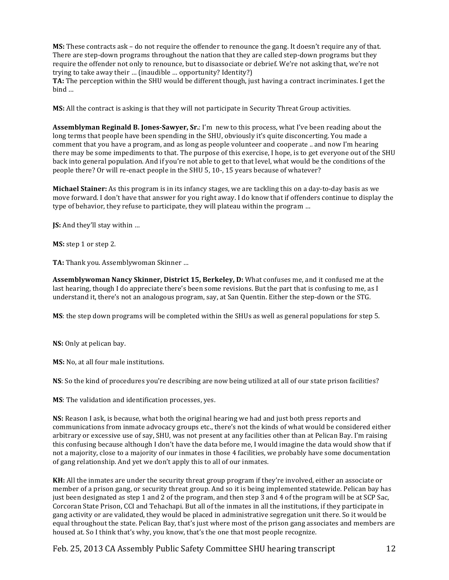**MS:** These contracts ask – do not require the offender to renounce the gang. It doesn't require any of that. There are step-down programs throughout the nation that they are called step-down programs but they require the offender not only to renounce, but to disassociate or debrief. We're not asking that, we're not trying to take away their … (inaudible … opportunity? Identity?)

**TA:** The perception within the SHU would be different though, just having a contract incriminates. I get the  $bind$  …

**MS:** All the contract is asking is that they will not participate in Security Threat Group activities.

**Assemblyman Reginald B. Jones-Sawyer, Sr.**: I'm new to this process, what I've been reading about the long terms that people have been spending in the SHU, obviously it's quite disconcerting. You made a comment that you have a program, and as long as people volunteer and cooperate .. and now I'm hearing there may be some impediments to that. The purpose of this exercise, I hope, is to get everyone out of the SHU back into general population. And if you're not able to get to that level, what would be the conditions of the people there? Or will re-enact people in the SHU 5, 10-, 15 years because of whatever?

**Michael Stainer:** As this program is in its infancy stages, we are tackling this on a day-to-day basis as we move forward. I don't have that answer for you right away. I do know that if offenders continue to display the type of behavior, they refuse to participate, they will plateau within the program ...

**JS:** And they'll stay within …

**MS:** step 1 or step 2.

TA: Thank you. Assemblywoman Skinner ...

Assemblywoman Nancy Skinner, District 15, Berkeley, D: What confuses me, and it confused me at the last hearing, though I do appreciate there's been some revisions. But the part that is confusing to me, as I understand it, there's not an analogous program, say, at San Quentin. Either the step-down or the STG.

**MS**: the step down programs will be completed within the SHUs as well as general populations for step 5.

**NS:** Only at pelican bay.

**MS:** No, at all four male institutions.

**NS**: So the kind of procedures you're describing are now being utilized at all of our state prison facilities?

**MS**: The validation and identification processes, yes.

**NS:** Reason I ask, is because, what both the original hearing we had and just both press reports and communications from inmate advocacy groups etc., there's not the kinds of what would be considered either arbitrary or excessive use of say, SHU, was not present at any facilities other than at Pelican Bay. I'm raising this confusing because although I don't have the data before me, I would imagine the data would show that if not a majority, close to a majority of our inmates in those 4 facilities, we probably have some documentation of gang relationship. And yet we don't apply this to all of our inmates.

**KH:** All the inmates are under the security threat group program if they're involved, either an associate or member of a prison gang, or security threat group. And so it is being implemented statewide. Pelican bay has just been designated as step 1 and 2 of the program, and then step 3 and 4 of the program will be at SCP Sac, Corcoran State Prison, CCI and Tehachapi. But all of the inmates in all the institutions, if they participate in gang activity or are validated, they would be placed in administrative segregation unit there. So it would be equal throughout the state. Pelican Bay, that's just where most of the prison gang associates and members are housed at. So I think that's why, you know, that's the one that most people recognize.

Feb. 25, 2013 CA Assembly Public Safety Committee SHU hearing transcript 12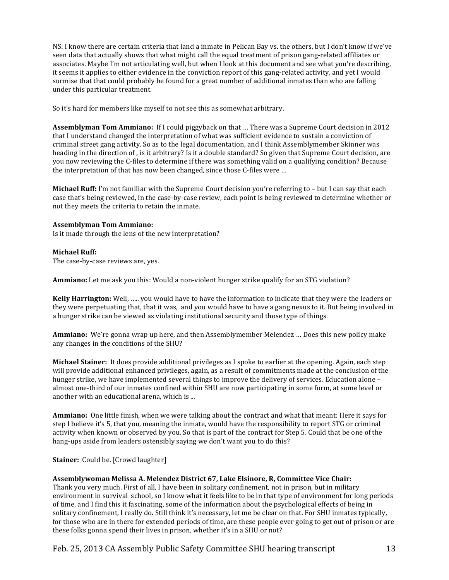NS: I know there are certain criteria that land a inmate in Pelican Bay vs. the others, but I don't know if we've seen data that actually shows that what might call the equal treatment of prison gang-related affiliates or associates. Maybe I'm not articulating well, but when I look at this document and see what you're describing, it seems it applies to either evidence in the conviction report of this gang-related activity, and yet I would surmise that that could probably be found for a great number of additional inmates than who are falling under this particular treatment.

So it's hard for members like myself to not see this as somewhat arbitrary.

**Assemblyman Tom Ammiano:** If I could piggyback on that ... There was a Supreme Court decision in 2012 that I understand changed the interpretation of what was sufficient evidence to sustain a conviction of criminal street gang activity. So as to the legal documentation, and I think Assemblymember Skinner was heading in the direction of, is it arbitrary? Is it a double standard? So given that Supreme Court decision, are you now reviewing the C-files to determine if there was something valid on a qualifying condition? Because the interpretation of that has now been changed, since those C-files were ...

**Michael Ruff:** I'm not familiar with the Supreme Court decision you're referring to – but I can say that each case that's being reviewed, in the case-by-case review, each point is being reviewed to determine whether or not they meets the criteria to retain the inmate.

# **Assemblyman Tom Ammiano:**

Is it made through the lens of the new interpretation?

# **Michael Ruff:**

The case-by-case reviews are, yes.

**Ammiano:** Let me ask you this: Would a non-violent hunger strike qualify for an STG violation?

**Kelly Harrington:** Well, ..... you would have to have the information to indicate that they were the leaders or they were perpetuating that, that it was, and you would have to have a gang nexus to it. But being involved in a hunger strike can be viewed as violating institutional security and those type of things.

Ammiano: We're gonna wrap up here, and then Assemblymember Melendez ... Does this new policy make any changes in the conditions of the SHU?

Michael Stainer: It does provide additional privileges as I spoke to earlier at the opening. Again, each step will provide additional enhanced privileges, again, as a result of commitments made at the conclusion of the hunger strike, we have implemented several things to improve the delivery of services. Education alone – almost one-third of our inmates confined within SHU are now participating in some form, at some level or another with an educational arena, which is  $\ldots$ 

**Ammiano:** One little finish, when we were talking about the contract and what that meant: Here it says for step I believe it's 5, that you, meaning the inmate, would have the responsibility to report STG or criminal activity when known or observed by you. So that is part of the contract for Step 5. Could that be one of the hang-ups aside from leaders ostensibly saying we don't want you to do this?

**Stainer:** Could be. [Crowd laughter]

#### Assemblywoman Melissa A. Melendez District 67, Lake Elsinore, R, Committee Vice Chair:

Thank you very much. First of all, I have been in solitary confinement, not in prison, but in military environment in survival school, so I know what it feels like to be in that type of environment for long periods of time, and I find this it fascinating, some of the information about the psychological effects of being in solitary confinement, I really do. Still think it's necessary, let me be clear on that. For SHU inmates typically, for those who are in there for extended periods of time, are these people ever going to get out of prison or are these folks gonna spend their lives in prison, whether it's in a SHU or not?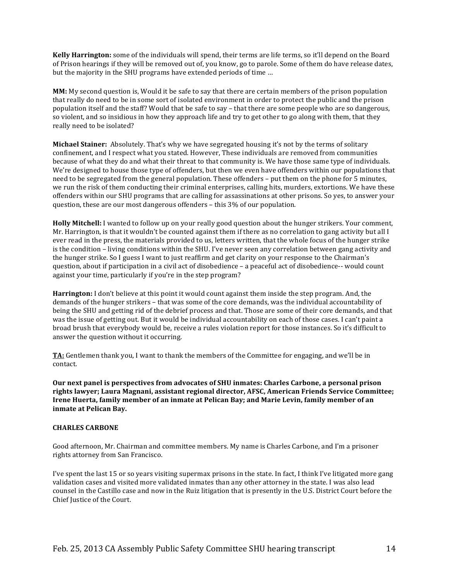**Kelly Harrington:** some of the individuals will spend, their terms are life terms, so it'll depend on the Board of Prison hearings if they will be removed out of, you know, go to parole. Some of them do have release dates, but the majority in the SHU programs have extended periods of time ...

**MM:** My second question is, Would it be safe to say that there are certain members of the prison population that really do need to be in some sort of isolated environment in order to protect the public and the prison population itself and the staff? Would that be safe to say – that there are some people who are so dangerous, so violent, and so insidious in how they approach life and try to get other to go along with them, that they really need to be isolated?

**Michael Stainer:** Absolutely. That's why we have segregated housing it's not by the terms of solitary confinement, and I respect what you stated. However, These individuals are removed from communities because of what they do and what their threat to that community is. We have those same type of individuals. We're designed to house those type of offenders, but then we even have offenders within our populations that need to be segregated from the general population. These offenders – put them on the phone for 5 minutes, we run the risk of them conducting their criminal enterprises, calling hits, murders, extortions. We have these offenders within our SHU programs that are calling for assassinations at other prisons. So yes, to answer your question, these are our most dangerous offenders – this  $3\%$  of our population.

**Holly Mitchell:** I wanted to follow up on your really good question about the hunger strikers. Your comment, Mr. Harrington, is that it wouldn't be counted against them if there as no correlation to gang activity but all I ever read in the press, the materials provided to us, letters written, that the whole focus of the hunger strike is the condition – living conditions within the SHU. I've never seen any correlation between gang activity and the hunger strike. So I guess I want to just reaffirm and get clarity on your response to the Chairman's question, about if participation in a civil act of disobedience – a peaceful act of disobedience-- would count against your time, particularly if you're in the step program?

**Harrington:** I don't believe at this point it would count against them inside the step program. And, the demands of the hunger strikers – that was some of the core demands, was the individual accountability of being the SHU and getting rid of the debrief process and that. Those are some of their core demands, and that was the issue of getting out. But it would be individual accountability on each of those cases. I can't paint a broad brush that everybody would be, receive a rules violation report for those instances. So it's difficult to answer the question without it occurring.

**TA:** Gentlemen thank you, I want to thank the members of the Committee for engaging, and we'll be in contact.

Our next panel is perspectives from advocates of SHU inmates: Charles Carbone, a personal prison rights lawyer; Laura Magnani, assistant regional director, AFSC, American Friends Service Committee; **Irene Huerta, family member of an inmate at Pelican Bay; and Marie Levin, family member of an inmate at Pelican Bay.** 

#### **CHARLES CARBONE**

Good afternoon, Mr. Chairman and committee members. My name is Charles Carbone, and I'm a prisoner rights attorney from San Francisco.

I've spent the last 15 or so years visiting supermax prisons in the state. In fact, I think I've litigated more gang validation cases and visited more validated inmates than any other attorney in the state. I was also lead counsel in the Castillo case and now in the Ruiz litigation that is presently in the U.S. District Court before the Chief Justice of the Court.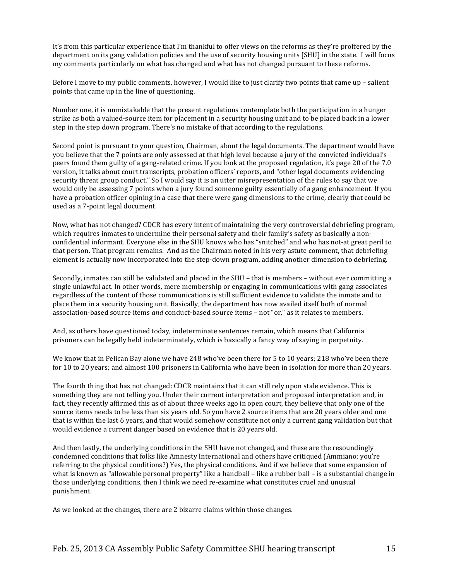It's from this particular experience that I'm thankful to offer views on the reforms as they're proffered by the department on its gang validation policies and the use of security housing units [SHU] in the state. I will focus my comments particularly on what has changed and what has not changed pursuant to these reforms.

Before I move to my public comments, however, I would like to just clarify two points that came up – salient points that came up in the line of questioning.

Number one, it is unmistakable that the present regulations contemplate both the participation in a hunger strike as both a valued-source item for placement in a security housing unit and to be placed back in a lower step in the step down program. There's no mistake of that according to the regulations.

Second point is pursuant to your question, Chairman, about the legal documents. The department would have you believe that the 7 points are only assessed at that high level because a jury of the convicted individual's peers found them guilty of a gang-related crime. If you look at the proposed regulation, it's page 20 of the 7.0 version, it talks about court transcripts, probation officers' reports, and "other legal documents evidencing security threat group conduct." So I would say it is an utter misrepresentation of the rules to say that we would only be assessing 7 points when a jury found someone guilty essentially of a gang enhancement. If you have a probation officer opining in a case that there were gang dimensions to the crime, clearly that could be used as a 7-point legal document.

Now, what has not changed? CDCR has every intent of maintaining the very controversial debriefing program, which requires inmates to undermine their personal safety and their family's safety as basically a nonconfidential informant. Everyone else in the SHU knows who has "snitched" and who has not-at great peril to that person. That program remains. And as the Chairman noted in his very astute comment, that debriefing element is actually now incorporated into the step-down program, adding another dimension to debriefing.

Secondly, inmates can still be validated and placed in the SHU – that is members – without ever committing a single unlawful act. In other words, mere membership or engaging in communications with gang associates regardless of the content of those communications is still sufficient evidence to validate the inmate and to place them in a security housing unit. Basically, the department has now availed itself both of normal association-based source items *and* conduct-based source items – not "or," as it relates to members.

And, as others have questioned today, indeterminate sentences remain, which means that California prisoners can be legally held indeterminately, which is basically a fancy way of saying in perpetuity.

We know that in Pelican Bay alone we have 248 who've been there for 5 to 10 years; 218 who've been there for 10 to 20 years; and almost 100 prisoners in California who have been in isolation for more than 20 years.

The fourth thing that has not changed: CDCR maintains that it can still rely upon stale evidence. This is something they are not telling you. Under their current interpretation and proposed interpretation and, in fact, they recently affirmed this as of about three weeks ago in open court, they believe that only one of the source items needs to be less than six years old. So you have 2 source items that are 20 years older and one that is within the last 6 years, and that would somehow constitute not only a current gang validation but that would evidence a current danger based on evidence that is 20 years old.

And then lastly, the underlying conditions in the SHU have not changed, and these are the resoundingly condemned conditions that folks like Amnesty International and others have critiqued (Ammiano: you're referring to the physical conditions?) Yes, the physical conditions. And if we believe that some expansion of what is known as "allowable personal property" like a handball – like a rubber ball – is a substantial change in those underlying conditions, then I think we need re-examine what constitutes cruel and unusual punishment.%

As we looked at the changes, there are 2 bizarre claims within those changes.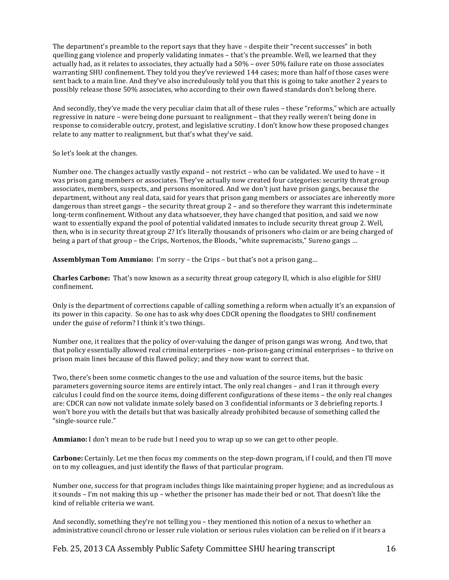The department's preamble to the report says that they have – despite their "recent successes" in both quelling gang violence and properly validating inmates – that's the preamble. Well, we learned that they actually had, as it relates to associates, they actually had a  $50\%$  – over  $50\%$  failure rate on those associates warranting SHU confinement. They told you they've reviewed 144 cases; more than half of those cases were sent back to a main line. And they've also incredulously told you that this is going to take another 2 years to possibly release those 50% associates, who according to their own flawed standards don't belong there.

And secondly, they've made the very peculiar claim that all of these rules – these "reforms," which are actually regressive in nature – were being done pursuant to realignment – that they really weren't being done in response to considerable outcry, protest, and legislative scrutiny. I don't know how these proposed changes relate to any matter to realignment, but that's what they've said.

So let's look at the changes.

Number one. The changes actually vastly expand – not restrict – who can be validated. We used to have – it was prison gang members or associates. They've actually now created four categories: security threat group associates, members, suspects, and persons monitored. And we don't just have prison gangs, because the department, without any real data, said for years that prison gang members or associates are inherently more dangerous than street gangs – the security threat group  $2$  – and so therefore they warrant this indeterminate long-term confinement. Without any data whatsoever, they have changed that position, and said we now want to essentially expand the pool of potential validated inmates to include security threat group 2. Well, then, who is in security threat group 2? It's literally thousands of prisoners who claim or are being charged of being a part of that group – the Crips, Nortenos, the Bloods, "white supremacists," Sureno gangs ...

**Assemblyman Tom Ammiano:** I'm sorry – the Crips – but that's not a prison gang...

**Charles Carbone:** That's now known as a security threat group category II, which is also eligible for SHU confinement.%

Only is the department of corrections capable of calling something a reform when actually it's an expansion of its power in this capacity. So one has to ask why does CDCR opening the floodgates to SHU confinement under the guise of reform? I think it's two things.

Number one, it realizes that the policy of over-valuing the danger of prison gangs was wrong. And two, that that policy essentially allowed real criminal enterprises – non-prison-gang criminal enterprises – to thrive on prison main lines because of this flawed policy; and they now want to correct that.

Two, there's been some cosmetic changes to the use and valuation of the source items, but the basic parameters governing source items are entirely intact. The only real changes – and I ran it through every calculus I could find on the source items, doing different configurations of these items – the only real changes are: CDCR can now not validate inmate solely based on 3 confidential informants or 3 debriefing reports. I won't bore you with the details but that was basically already prohibited because of something called the "single-source rule."

**Ammiano:** I don't mean to be rude but I need you to wrap up so we can get to other people.

**Carbone:** Certainly. Let me then focus my comments on the step-down program, if I could, and then I'll move on to my colleagues, and just identify the flaws of that particular program.

Number one, success for that program includes things like maintaining proper hygiene; and as incredulous as it sounds – I'm not making this up – whether the prisoner has made their bed or not. That doesn't like the kind of reliable criteria we want.

And secondly, something they're not telling you – they mentioned this notion of a nexus to whether an administrative council chrono or lesser rule violation or serious rules violation can be relied on if it bears a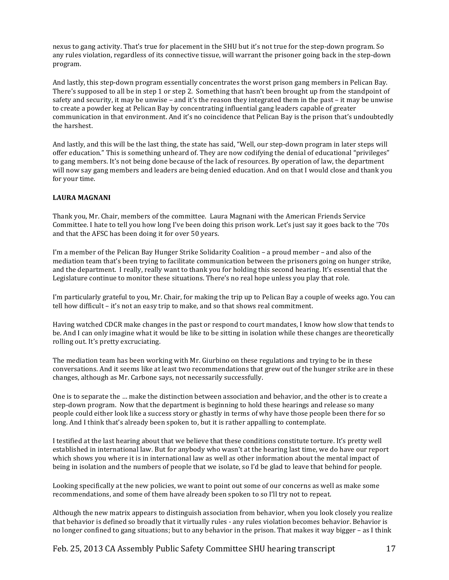nexus to gang activity. That's true for placement in the SHU but it's not true for the step-down program. So any rules violation, regardless of its connective tissue, will warrant the prisoner going back in the step-down program.

And lastly, this step-down program essentially concentrates the worst prison gang members in Pelican Bay. There's supposed to all be in step 1 or step 2. Something that hasn't been brought up from the standpoint of safety and security, it may be unwise – and it's the reason they integrated them in the past – it may be unwise to create a powder keg at Pelican Bay by concentrating influential gang leaders capable of greater communication in that environment. And it's no coincidence that Pelican Bay is the prison that's undoubtedly the harshest.

And lastly, and this will be the last thing, the state has said, "Well, our step-down program in later steps will offer education." This is something unheard of. They are now codifying the denial of educational "privileges" to gang members. It's not being done because of the lack of resources. By operation of law, the department will now say gang members and leaders are being denied education. And on that I would close and thank you for your time.

# **LAURA MAGNANI**

Thank you, Mr. Chair, members of the committee. Laura Magnani with the American Friends Service Committee. I hate to tell you how long I've been doing this prison work. Let's just say it goes back to the '70s and that the AFSC has been doing it for over 50 years.

I'm a member of the Pelican Bay Hunger Strike Solidarity Coalition – a proud member – and also of the mediation team that's been trying to facilitate communication between the prisoners going on hunger strike, and the department. I really, really want to thank you for holding this second hearing. It's essential that the Legislature continue to monitor these situations. There's no real hope unless you play that role.

I'm particularly grateful to you, Mr. Chair, for making the trip up to Pelican Bay a couple of weeks ago. You can tell how difficult – it's not an easy trip to make, and so that shows real commitment.

Having watched CDCR make changes in the past or respond to court mandates, I know how slow that tends to be. And I can only imagine what it would be like to be sitting in isolation while these changes are theoretically rolling out. It's pretty excruciating.

The mediation team has been working with Mr. Giurbino on these regulations and trying to be in these conversations. And it seems like at least two recommendations that grew out of the hunger strike are in these changes, although as Mr. Carbone says, not necessarily successfully.

One is to separate the … make the distinction between association and behavior, and the other is to create a step-down program. Now that the department is beginning to hold these hearings and release so many people could either look like a success story or ghastly in terms of why have those people been there for so long. And I think that's already been spoken to, but it is rather appalling to contemplate.

I testified at the last hearing about that we believe that these conditions constitute torture. It's pretty well established in international law. But for anybody who wasn't at the hearing last time, we do have our report which shows you where it is in international law as well as other information about the mental impact of being in isolation and the numbers of people that we isolate, so I'd be glad to leave that behind for people.

Looking specifically at the new policies, we want to point out some of our concerns as well as make some recommendations, and some of them have already been spoken to so I'll try not to repeat.

Although the new matrix appears to distinguish association from behavior, when you look closely you realize that behavior is defined so broadly that it virtually rules - any rules violation becomes behavior. Behavior is no longer confined to gang situations; but to any behavior in the prison. That makes it way bigger – as I think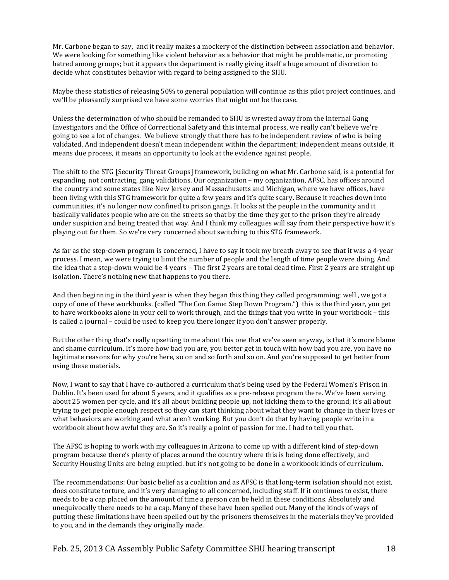Mr. Carbone began to say, and it really makes a mockery of the distinction between association and behavior. We were looking for something like violent behavior as a behavior that might be problematic, or promoting hatred among groups; but it appears the department is really giving itself a huge amount of discretion to decide what constitutes behavior with regard to being assigned to the SHU.

Maybe these statistics of releasing 50% to general population will continue as this pilot project continues, and we'll be pleasantly surprised we have some worries that might not be the case.

Unless the determination of who should be remanded to SHU is wrested away from the Internal Gang Investigators and the Office of Correctional Safety and this internal process, we really can't believe we're going to see a lot of changes. We believe strongly that there has to be independent review of who is being validated. And independent doesn't mean independent within the department; independent means outside, it means due process, it means an opportunity to look at the evidence against people.

The shift to the STG [Security Threat Groups] framework, building on what Mr. Carbone said, is a potential for expanding, not contracting, gang validations. Our organization – my organization, AFSC, has offices around the country and some states like New Jersey and Massachusetts and Michigan, where we have offices, have been living with this STG framework for quite a few years and it's quite scary. Because it reaches down into communities, it's no longer now confined to prison gangs. It looks at the people in the community and it basically validates people who are on the streets so that by the time they get to the prison they're already under suspicion and being treated that way. And I think my colleagues will say from their perspective how it's playing out for them. So we're very concerned about switching to this STG framework.

As far as the step-down program is concerned, I have to say it took my breath away to see that it was a 4-year process. I mean, we were trying to limit the number of people and the length of time people were doing. And the idea that a step-down would be 4 years – The first 2 years are total dead time. First 2 years are straight up isolation. There's nothing new that happens to you there.

And then beginning in the third year is when they began this thing they called programming; well, we got a copy of one of these workbooks. (called "The Con Game: Step Down Program.") this is the third year, you get to have workbooks alone in your cell to work through, and the things that you write in your workbook – this is called a journal – could be used to keep you there longer if you don't answer properly.

But the other thing that's really upsetting to me about this one that we've seen anyway, is that it's more blame and shame curriculum. It's more how bad you are, you better get in touch with how bad you are, you have no legitimate reasons for why you're here, so on and so forth and so on. And you're supposed to get better from using these materials.

Now, I want to say that I have co-authored a curriculum that's being used by the Federal Women's Prison in Dublin. It's been used for about 5 years, and it qualifies as a pre-release program there. We've been serving about 25 women per cycle, and it's all about building people up, not kicking them to the ground; it's all about trying to get people enough respect so they can start thinking about what they want to change in their lives or what behaviors are working and what aren't working. But you don't do that by having people write in a workbook about how awful they are. So it's really a point of passion for me. I had to tell you that.

The AFSC is hoping to work with my colleagues in Arizona to come up with a different kind of step-down program because there's plenty of places around the country where this is being done effectively, and Security Housing Units are being emptied. but it's not going to be done in a workbook kinds of curriculum.

The recommendations: Our basic belief as a coalition and as AFSC is that long-term isolation should not exist, does constitute torture, and it's very damaging to all concerned, including staff. If it continues to exist, there needs to be a cap placed on the amount of time a person can be held in these conditions. Absolutely and unequivocally there needs to be a cap. Many of these have been spelled out. Many of the kinds of ways of putting these limitations have been spelled out by the prisoners themselves in the materials they've provided to you, and in the demands they originally made.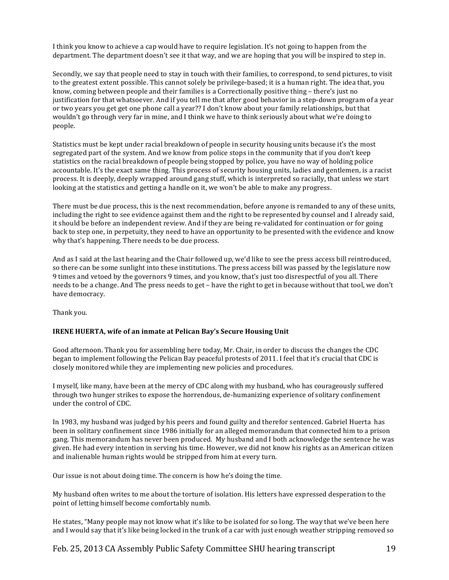I think you know to achieve a cap would have to require legislation. It's not going to happen from the department. The department doesn't see it that way, and we are hoping that you will be inspired to step in.

Secondly, we say that people need to stay in touch with their families, to correspond, to send pictures, to visit to the greatest extent possible. This cannot solely be privilege-based; it is a human right. The idea that, you know, coming between people and their families is a Correctionally positive thing – there's just no justification for that whatsoever. And if you tell me that after good behavior in a step-down program of a year or two years you get get one phone call a year?? I don't know about your family relationships, but that wouldn't go through very far in mine, and I think we have to think seriously about what we're doing to people.

Statistics must be kept under racial breakdown of people in security housing units because it's the most segregated part of the system. And we know from police stops in the community that if you don't keep statistics on the racial breakdown of people being stopped by police, you have no way of holding police accountable. It's the exact same thing. This process of security housing units, ladies and gentlemen, is a racist process. It is deeply, deeply wrapped around gang stuff, which is interpreted so racially, that unless we start looking at the statistics and getting a handle on it, we won't be able to make any progress.

There must be due process, this is the next recommendation, before anyone is remanded to any of these units, including the right to see evidence against them and the right to be represented by counsel and I already said, it should be before an independent review. And if they are being re-validated for continuation or for going back to step one, in perpetuity, they need to have an opportunity to be presented with the evidence and know why that's happening. There needs to be due process.

And as I said at the last hearing and the Chair followed up, we'd like to see the press access bill reintroduced, so there can be some sunlight into these institutions. The press access bill was passed by the legislature now 9 times and vetoed by the governors 9 times, and you know, that's just too disrespectful of you all. There needs to be a change. And The press needs to get – have the right to get in because without that tool, we don't have democracy.

Thank you.

#### **IRENE HUERTA, wife of an inmate at Pelican Bay's Secure Housing Unit**

Good afternoon. Thank you for assembling here today, Mr. Chair, in order to discuss the changes the CDC began to implement following the Pelican Bay peaceful protests of 2011. I feel that it's crucial that CDC is closely monitored while they are implementing new policies and procedures.

I myself, like many, have been at the mercy of CDC along with my husband, who has courageously suffered through two hunger strikes to expose the horrendous, de-humanizing experience of solitary confinement under the control of CDC.

In 1983, my husband was judged by his peers and found guilty and therefor sentenced. Gabriel Huerta has been in solitary confinement since 1986 initially for an alleged memorandum that connected him to a prison gang. This memorandum has never been produced. My husband and I both acknowledge the sentence he was given. He had every intention in serving his time. However, we did not know his rights as an American citizen and inalienable human rights would be stripped from him at every turn.

Our issue is not about doing time. The concern is how he's doing the time.

My husband often writes to me about the torture of isolation. His letters have expressed desperation to the point of letting himself become comfortably numb.

He states, "Many people may not know what it's like to be isolated for so long. The way that we've been here and I would say that it's like being locked in the trunk of a car with just enough weather stripping removed so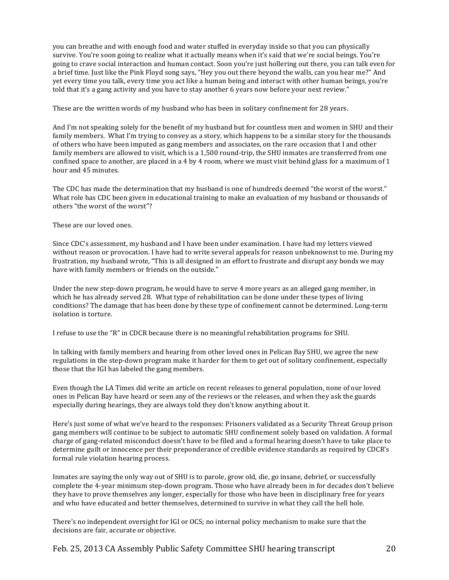you can breathe and with enough food and water stuffed in everyday inside so that you can physically survive. You're soon going to realize what it actually means when it's said that we're social beings. You're going to crave social interaction and human contact. Soon you're just hollering out there, you can talk even for a brief time. Just like the Pink Floyd song says, "Hey you out there beyond the walls, can you hear me?" And yet every time you talk, every time you act like a human being and interact with other human beings, you're told that it's a gang activity and you have to stay another 6 years now before your next review."

These are the written words of my husband who has been in solitary confinement for 28 years.

And I'm not speaking solely for the benefit of my husband but for countless men and women in SHU and their family members. What I'm trying to convey as a story, which happens to be a similar story for the thousands of others who have been imputed as gang members and associates, on the rare occasion that I and other family members are allowed to visit, which is a 1,500 round-trip, the SHU inmates are transferred from one confined space to another, are placed in a 4 by 4 room, where we must visit behind glass for a maximum of 1 hour and 45 minutes.

The CDC has made the determination that my husband is one of hundreds deemed "the worst of the worst." What role has CDC been given in educational training to make an evaluation of my husband or thousands of others "the worst of the worst"?

These are our loved ones.

Since CDC's assessment, my husband and I have been under examination. I have had my letters viewed without reason or provocation. I have had to write several appeals for reason unbeknownst to me. During my frustration, my husband wrote, "This is all designed in an effort to frustrate and disrupt any bonds we may have with family members or friends on the outside."

Under the new step-down program, he would have to serve 4 more years as an alleged gang member, in which he has already served 28. What type of rehabilitation can be done under these types of living conditions? The damage that has been done by these type of confinement cannot be determined. Long-term isolation is torture.

I refuse to use the "R" in CDCR because there is no meaningful rehabilitation programs for SHU.

In talking with family members and hearing from other loved ones in Pelican Bay SHU, we agree the new regulations in the step-down program make it harder for them to get out of solitary confinement, especially those that the IGI has labeled the gang members.

Even though the LA Times did write an article on recent releases to general population, none of our loved ones in Pelican Bay have heard or seen any of the reviews or the releases, and when they ask the guards especially during hearings, they are always told they don't know anything about it.

Here's just some of what we've heard to the responses: Prisoners validated as a Security Threat Group prison gang members will continue to be subject to automatic SHU confinement solely based on validation. A formal charge of gang-related misconduct doesn't have to be filed and a formal hearing doesn't have to take place to determine guilt or innocence per their preponderance of credible evidence standards as required by CDCR's formal rule violation hearing process.

Inmates are saying the only way out of SHU is to parole, grow old, die, go insane, debrief, or successfully complete the 4-year minimum step-down program. Those who have already been in for decades don't believe they have to prove themselves any longer, especially for those who have been in disciplinary free for years and who have educated and better themselves, determined to survive in what they call the hell hole.

There's no independent oversight for IGI or OCS; no internal policy mechanism to make sure that the decisions are fair, accurate or objective.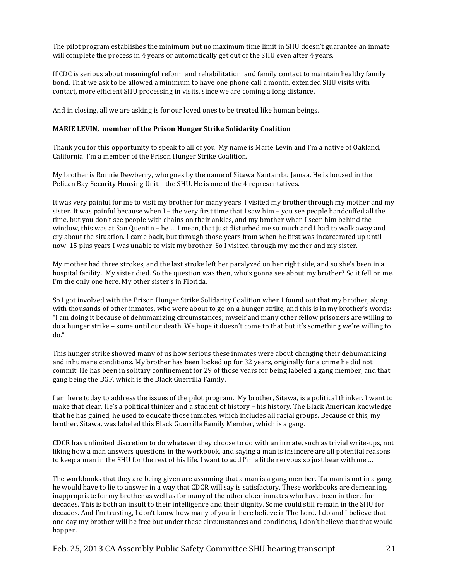The pilot program establishes the minimum but no maximum time limit in SHU doesn't guarantee an inmate will complete the process in 4 years or automatically get out of the SHU even after 4 years.

If CDC is serious about meaningful reform and rehabilitation, and family contact to maintain healthy family bond. That we ask to be allowed a minimum to have one phone call a month, extended SHU visits with contact, more efficient SHU processing in visits, since we are coming a long distance.

And in closing, all we are asking is for our loved ones to be treated like human beings.

# **MARIE LEVIN, member of the Prison Hunger Strike Solidarity Coalition**

Thank you for this opportunity to speak to all of you. My name is Marie Levin and I'm a native of Oakland, California. I'm a member of the Prison Hunger Strike Coalition.

My brother is Ronnie Dewberry, who goes by the name of Sitawa Nantambu Jamaa. He is housed in the Pelican Bay Security Housing Unit – the SHU. He is one of the 4 representatives.

It was very painful for me to visit my brother for many years. I visited my brother through my mother and my sister. It was painful because when I – the very first time that I saw him – you see people handcuffed all the time, but you don't see people with chains on their ankles, and my brother when I seen him behind the window, this was at San Quentin – he … I mean, that just disturbed me so much and I had to walk away and cry about the situation. I came back, but through those years from when he first was incarcerated up until now. 15 plus years I was unable to visit my brother. So I visited through my mother and my sister.

My mother had three strokes, and the last stroke left her paralyzed on her right side, and so she's been in a hospital facility. My sister died. So the question was then, who's gonna see about my brother? So it fell on me. I'm the only one here. My other sister's in Florida.

So I got involved with the Prison Hunger Strike Solidarity Coalition when I found out that my brother, along with thousands of other inmates, who were about to go on a hunger strike, and this is in my brother's words: "I am doing it because of dehumanizing circumstances; myself and many other fellow prisoners are willing to do a hunger strike – some until our death. We hope it doesn't come to that but it's something we're willing to do."

This hunger strike showed many of us how serious these inmates were about changing their dehumanizing and inhumane conditions. My brother has been locked up for 32 years, originally for a crime he did not commit. He has been in solitary confinement for 29 of those years for being labeled a gang member, and that gang being the BGF, which is the Black Guerrilla Family.

I am here today to address the issues of the pilot program. My brother, Sitawa, is a political thinker. I want to make that clear. He's a political thinker and a student of history – his history. The Black American knowledge that he has gained, he used to educate those inmates, which includes all racial groups. Because of this, my brother, Sitawa, was labeled this Black Guerrilla Family Member, which is a gang.

CDCR has unlimited discretion to do whatever they choose to do with an inmate, such as trivial write-ups, not liking how a man answers questions in the workbook, and saying a man is insincere are all potential reasons to keep a man in the SHU for the rest of his life. I want to add I'm a little nervous so just bear with me ...

The workbooks that they are being given are assuming that a man is a gang member. If a man is not in a gang, he would have to lie to answer in a way that CDCR will say is satisfactory. These workbooks are demeaning, inappropriate for my brother as well as for many of the other older inmates who have been in there for decades. This is both an insult to their intelligence and their dignity. Some could still remain in the SHU for decades. And I'm trusting, I don't know how many of you in here believe in The Lord. I do and I believe that one day my brother will be free but under these circumstances and conditions, I don't believe that that would happen.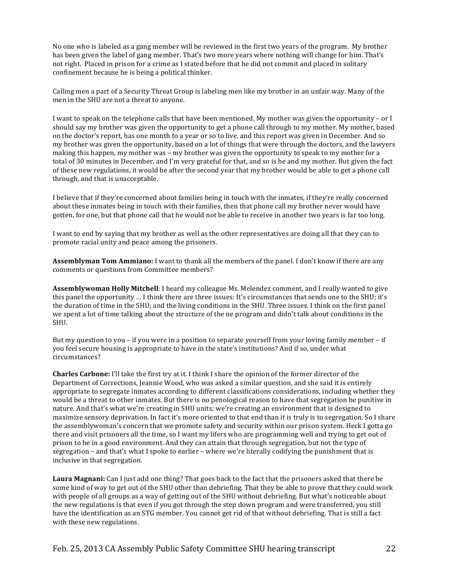No one who is labeled as a gang member will be reviewed in the first two years of the program. My brother has been given the label of gang member. That's two more years where nothing will change for him. That's not right. Placed in prison for a crime as I stated before that he did not commit and placed in solitary confinement because he is being a political thinker.

Calling men a part of a Security Threat Group is labeling men like my brother in an unfair way. Many of the men in the SHU are not a threat to anyone.

I want to speak on the telephone calls that have been mentioned. My mother was given the opportunity – or I should say my brother was given the opportunity to get a phone call through to my mother. My mother, based on the doctor's report, has one month to a year or so to live, and this report was given in December. And so my brother was given the opportunity, based on a lot of things that were through the doctors, and the lawyers making this happen, my mother was – my brother was given the opportunity to speak to my mother for a total of 30 minutes in December, and I'm very grateful for that, and so is he and my mother. But given the fact of these new regulations, it would be after the second year that my brother would be able to get a phone call through, and that is unacceptable.

I believe that if they're concerned about families being in touch with the inmates, if they're really concerned about these inmates being in touch with their families, then that phone call my brother never would have gotten, for one, but that phone call that he would not be able to receive in another two years is far too long.

I want to end by saying that my brother as well as the other representatives are doing all that they can to promote racial unity and peace among the prisoners.

**Assemblyman Tom Ammiano:** I want to thank all the members of the panel. I don't know if there are any comments or questions from Committee members?

Assemblvwoman Holly Mitchell: I heard my colleague Ms. Melendez comment, and I really wanted to give this panel the opportunity ... I think there are three issues: It's circumstances that sends one to the SHU; it's the duration of time in the SHU; and the living conditions in the SHU. Three issues. I think on the first panel we spent a lot of time talking about the structure of the ne program and didn't talk about conditions in the SHU.

But my question to you – if you were in a position to separate yourself from your loving family member – if you feel secure housing is appropriate to have in the state's institutions? And if so, under what circumstances?

**Charles Carbone:** I'll take the first try at it. I think I share the opinion of the former director of the Department of Corrections, Jeannie Wood, who was asked a similar question, and she said it is entirely appropriate to segregate inmates according to different classifications considerations, including whether they would be a threat to other inmates. But there is no penological reason to have that segregation be punitive in nature. And that's what we're creating in SHU units; we're creating an environment that is designed to maximize sensory deprivation. In fact it's more oriented to that end than it is truly is to segregation. So I share the assemblywoman's concern that we promote safety and security within our prison system. Heck I gotta go there and visit prisoners all the time, so I want my lifers who are programming well and trying to get out of prison to be in a good environment. And they can attain that through segregation, but not the type of segregation – and that's what I spoke to earlier – where we're literally codifying the punishment that is inclusive in that segregation.

**Laura Magnani:** Can I just add one thing? That goes back to the fact that the prisoners asked that there be some kind of way to get out of the SHU other than debriefing. That they be able to prove that they could work with people of all groups as a way of getting out of the SHU without debriefing. But what's noticeable about the new regulations is that even if you got through the step down program and were transferred, you still have the identification as an STG member. You cannot get rid of that without debriefing. That is still a fact with these new regulations.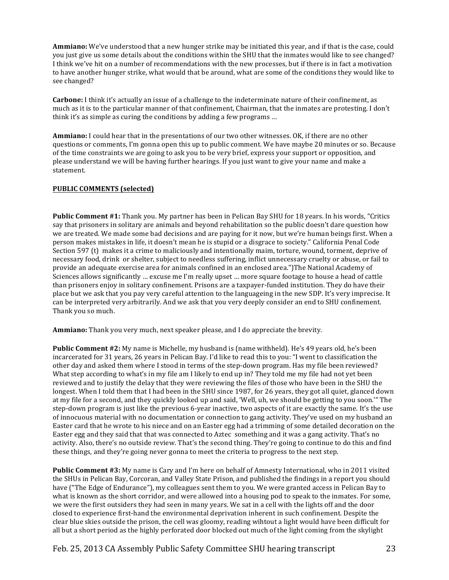**Ammiano:** We've understood that a new hunger strike may be initiated this year, and if that is the case, could you just give us some details about the conditions within the SHU that the inmates would like to see changed? I think we've hit on a number of recommendations with the new processes, but if there is in fact a motivation to have another hunger strike, what would that be around, what are some of the conditions they would like to see changed?

**Carbone:** I think it's actually an issue of a challenge to the indeterminate nature of their confinement, as much as it is to the particular manner of that confinement, Chairman, that the inmates are protesting. I don't think it's as simple as curing the conditions by adding a few programs  $\dots$ 

**Ammiano:** I could hear that in the presentations of our two other witnesses. OK, if there are no other questions or comments, I'm gonna open this up to public comment. We have maybe 20 minutes or so. Because of the time constraints we are going to ask you to be very brief, express your support or opposition, and please understand we will be having further hearings. If you just want to give your name and make a statement.

# **PUBLIC#COMMENTS (selected)**

**Public Comment #1:** Thank you. My partner has been in Pelican Bay SHU for 18 years. In his words, "Critics" say that prisoners in solitary are animals and beyond rehabilitation so the public doesn't dare question how we are treated. We made some bad decisions and are paying for it now, but we're human beings first. When a person makes mistakes in life, it doesn't mean he is stupid or a disgrace to society." California Penal Code Section 597 (t) makes it a crime to maliciously and intentionally maim, torture, wound, torment, deprive of necessary food, drink or shelter, subject to needless suffering, inflict unnecessary cruelty or abuse, or fail to provide an adequate exercise area for animals confined in an enclosed area.")The National Academy of Sciences allows significantly … excuse me I'm really upset … more square footage to house a head of cattle than prisoners enjoy in solitary confinement. Prisons are a taxpayer-funded institution. They do have their place but we ask that you pay very careful attention to the languageing in the new SDP. It's very imprecise. It can be interpreted very arbitrarily. And we ask that you very deeply consider an end to SHU confinement. Thank you so much.

Ammiano: Thank you very much, next speaker please, and I do appreciate the brevity.

**Public Comment #2:** My name is Michelle, my husband is (name withheld). He's 49 years old, he's been incarcerated for 31 years, 26 years in Pelican Bay. I'd like to read this to you: "I went to classification the other day and asked them where I stood in terms of the step-down program. Has my file been reviewed? What step according to what's in my file am I likely to end up in? They told me my file had not yet been reviewed and to justify the delay that they were reviewing the files of those who have been in the SHU the longest. When I told them that I had been in the SHU since 1987, for 26 years, they got all quiet, glanced down at my file for a second, and they quickly looked up and said, 'Well, uh, we should be getting to you soon.'" The step-down program is just like the previous 6-year inactive, two aspects of it are exactly the same. It's the use of innocuous material with no documentation or connection to gang activity. They've used on my husband an Easter card that he wrote to his niece and on an Easter egg had a trimming of some detailed decoration on the Easter egg and they said that that was connected to Aztec something and it was a gang activity. That's no activity. Also, there's no outside review. That's the second thing. They're going to continue to do this and find these things, and they're going never gonna to meet the criteria to progress to the next step.

**Public Comment #3:** My name is Cary and I'm here on behalf of Amnesty International, who in 2011 visited the SHUs in Pelican Bay, Corcoran, and Valley State Prison, and published the findings in a report you should have ("The Edge of Endurance"), my colleagues sent them to you. We were granted access in Pelican Bay to what is known as the short corridor, and were allowed into a housing pod to speak to the inmates. For some, we were the first outsiders they had seen in many years. We sat in a cell with the lights off and the door closed to experience first-hand the environmental deprivation inherent in such confinement. Despite the clear blue skies outside the prison, the cell was gloomy, reading wihtout a light would have been difficult for all but a short period as the highly perforated door blocked out much of the light coming from the skylight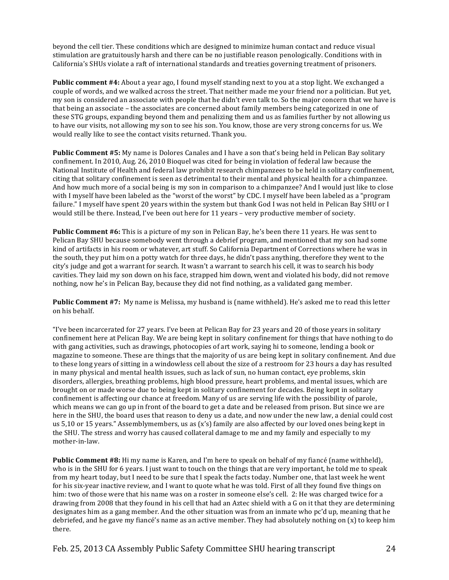beyond the cell tier. These conditions which are designed to minimize human contact and reduce visual stimulation are gratuitously harsh and there can be no justifiable reason penologically. Conditions with in California's SHUs violate a raft of international standards and treaties governing treatment of prisoners.

Public comment #4: About a year ago, I found myself standing next to you at a stop light. We exchanged a couple of words, and we walked across the street. That neither made me your friend nor a politician. But yet, my son is considered an associate with people that he didn't even talk to. So the major concern that we have is that being an associate – the associates are concerned about family members being categorized in one of these STG groups, expanding beyond them and penalizing them and us as families further by not allowing us to have our visits, not allowing my son to see his son. You know, those are very strong concerns for us. We would really like to see the contact visits returned. Thank you.

**Public Comment #5:** My name is Dolores Canales and I have a son that's being held in Pelican Bay solitary confinement. In 2010, Aug. 26, 2010 Bioquel was cited for being in violation of federal law because the National Institute of Health and federal law prohibit research chimpanzees to be held in solitary confinement, citing that solitary confinement is seen as detrimental to their mental and physical health for a chimpanzee. And how much more of a social being is my son in comparison to a chimpanzee? And I would just like to close with I myself have been labeled as the "worst of the worst" by CDC. I myself have been labeled as a "program" failure." I myself have spent 20 years within the system but thank God I was not held in Pelican Bay SHU or I would still be there. Instead, I've been out here for 11 years – very productive member of society.

**Public Comment #6:** This is a picture of my son in Pelican Bay, he's been there 11 years. He was sent to Pelican Bay SHU because somebody went through a debrief program, and mentioned that my son had some kind of artifacts in his room or whatever, art stuff. So California Department of Corrections where he was in the south, they put him on a potty watch for three days, he didn't pass anything, therefore they went to the city's judge and got a warrant for search. It wasn't a warrant to search his cell, it was to search his body cavities. They laid my son down on his face, strapped him down, went and violated his body, did not remove nothing, now he's in Pelican Bay, because they did not find nothing, as a validated gang member.

Public Comment #7: My name is Melissa, my husband is (name withheld). He's asked me to read this letter on his behalf.

"I've been incarcerated for 27 years. I've been at Pelican Bay for 23 years and 20 of those years in solitary confinement here at Pelican Bay. We are being kept in solitary confinement for things that have nothing to do with gang activities, such as drawings, photocopies of art work, saying hi to someone, lending a book or magazine to someone. These are things that the majority of us are being kept in solitary confinement. And due to these long years of sitting in a windowless cell about the size of a restroom for 23 hours a day has resulted in many physical and mental health issues, such as lack of sun, no human contact, eve problems, skin disorders, allergies, breathing problems, high blood pressure, heart problems, and mental issues, which are brought on or made worse due to being kept in solitary confinement for decades. Being kept in solitary confinement is affecting our chance at freedom. Many of us are serving life with the possibility of parole, which means we can go up in front of the board to get a date and be released from prison. But since we are here in the SHU, the board uses that reason to deny us a date, and now under the new law, a denial could cost us 5,10 or 15 years." Assemblymembers, us as (x's) family are also affected by our loved ones being kept in the SHU. The stress and worry has caused collateral damage to me and my family and especially to my mother-in-law.

**Public Comment #8:** Hi my name is Karen, and I'm here to speak on behalf of my fiancé (name withheld), who is in the SHU for 6 years. I just want to touch on the things that are very important, he told me to speak from my heart today, but I need to be sure that I speak the facts today. Number one, that last week he went for his six-year inactive review, and I want to quote what he was told. First of all they found five things on him: two of those were that his name was on a roster in someone else's cell. 2: He was charged twice for a drawing from 2008 that they found in his cell that had an Aztec shield with a G on it that they are determining designates him as a gang member. And the other situation was from an inmate who pc'd up, meaning that he debriefed, and he gave my fiancé's name as an active member. They had absolutely nothing on  $(x)$  to keep him there.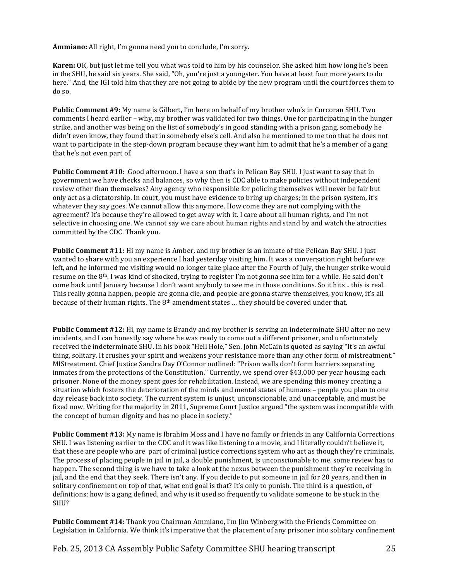**Ammiano:** All right, I'm gonna need you to conclude, I'm sorry.

**Karen:** OK, but just let me tell you what was told to him by his counselor. She asked him how long he's been in the SHU, he said six years. She said, "Oh, you're just a youngster. You have at least four more years to do here." And, the IGI told him that they are not going to abide by the new program until the court forces them to do so.

**Public Comment #9:** My name is Gilbert, I'm here on behalf of my brother who's in Corcoran SHU. Two comments I heard earlier – why, my brother was validated for two things. One for participating in the hunger strike, and another was being on the list of somebody's in good standing with a prison gang, somebody he didn't even know, they found that in somebody else's cell. And also he mentioned to me too that he does not want to participate in the step-down program because they want him to admit that he's a member of a gang that he's not even part of.

**Public Comment #10:** Good afternoon. I have a son that's in Pelican Bay SHU. I just want to say that in government we have checks and balances, so why then is CDC able to make policies without independent review other than themselves? Any agency who responsible for policing themselves will never be fair but only act as a dictatorship. In court, you must have evidence to bring up charges; in the prison system, it's whatever they say goes. We cannot allow this anymore. How come they are not complying with the agreement? It's because they're allowed to get away with it. I care about all human rights, and I'm not selective in choosing one. We cannot say we care about human rights and stand by and watch the atrocities committed by the CDC. Thank you.

**Public Comment #11:** Hi my name is Amber, and my brother is an inmate of the Pelican Bay SHU. I just wanted to share with you an experience I had yesterday visiting him. It was a conversation right before we left, and he informed me visiting would no longer take place after the Fourth of July, the hunger strike would resume on the 8<sup>th</sup>. I was kind of shocked, trying to register I'm not gonna see him for a while. He said don't come back until January because I don't want anybody to see me in those conditions. So it hits .. this is real. This really gonna happen, people are gonna die, and people are gonna starve themselves, you know, it's all because of their human rights. The 8<sup>th</sup> amendment states ... they should be covered under that.

**Public Comment #12:** Hi, my name is Brandy and my brother is serving an indeterminate SHU after no new incidents, and I can honestly say where he was ready to come out a different prisoner, and unfortunately received the indeterminate SHU. In his book "Hell Hole," Sen. John McCain is quoted as saying "It's an awful thing, solitary. It crushes your spirit and weakens your resistance more than any other form of mistreatment." MIStreatment. Chief Justice Sandra Day O'Connor outlined: "Prison walls don't form barriers separating inmates from the protections of the Constitution." Currently, we spend over \$43,000 per year housing each prisoner. None of the money spent goes for rehabilitation. Instead, we are spending this money creating a situation which fosters the deterioration of the minds and mental states of humans – people you plan to one day release back into society. The current system is unjust, unconscionable, and unacceptable, and must be fixed now. Writing for the majority in 2011, Supreme Court Justice argued "the system was incompatible with the concept of human dignity and has no place in society."

**Public Comment #13:** My name is Ibrahim Moss and I have no family or friends in any California Corrections SHU. I was listening earlier to the CDC and it was like listening to a movie, and I literally couldn't believe it, that these are people who are part of criminal justice corrections system who act as though they're criminals. The process of placing people in jail in jail, a double punishment, is unconscionable to me. some review has to happen. The second thing is we have to take a look at the nexus between the punishment they're receiving in jail, and the end that they seek. There isn't any. If you decide to put someone in jail for 20 years, and then in solitary confinement on top of that, what end goal is that? It's only to punish. The third is a question, of definitions: how is a gang defined, and why is it used so frequently to validate someone to be stuck in the SHU?

**Public Comment #14:** Thank you Chairman Ammiano, I'm Jim Winberg with the Friends Committee on Legislation in California. We think it's imperative that the placement of any prisoner into solitary confinement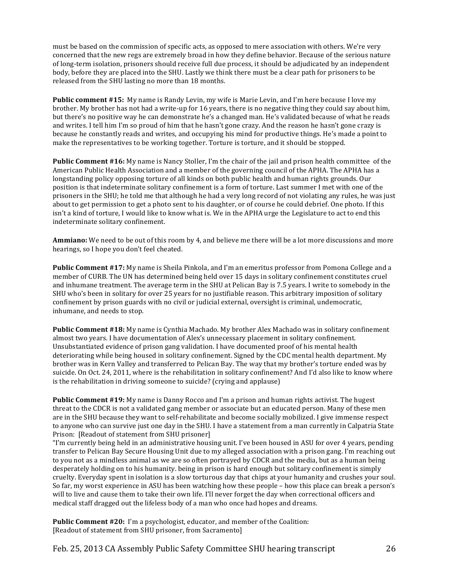must be based on the commission of specific acts, as opposed to mere association with others. We're very concerned that the new regs are extremely broad in how they define behavior. Because of the serious nature of long-term isolation, prisoners should receive full due process, it should be adjudicated by an independent body, before they are placed into the SHU. Lastly we think there must be a clear path for prisoners to be released from the SHU lasting no more than 18 months.

**Public comment #15:** My name is Randy Levin, my wife is Marie Levin, and I'm here because I love my brother. My brother has not had a write-up for 16 years, there is no negative thing they could say about him, but there's no positive way he can demonstrate he's a changed man. He's validated because of what he reads and writes. I tell him I'm so proud of him that he hasn't gone crazy. And the reason he hasn't gone crazy is because he constantly reads and writes, and occupying his mind for productive things. He's made a point to make the representatives to be working together. Torture is torture, and it should be stopped.

**Public Comment #16:** My name is Nancy Stoller, I'm the chair of the jail and prison health committee of the American Public Health Association and a member of the governing council of the APHA. The APHA has a longstanding policy opposing torture of all kinds on both public health and human rights grounds. Our position is that indeterminate solitary confinement is a form of torture. Last summer I met with one of the prisoners in the SHU; he told me that although he had a very long record of not violating any rules, he was just about to get permission to get a photo sent to his daughter, or of course he could debrief. One photo. If this isn't a kind of torture, I would like to know what is. We in the APHA urge the Legislature to act to end this indeterminate solitary confinement.

**Ammiano:** We need to be out of this room by 4, and believe me there will be a lot more discussions and more hearings, so I hope you don't feel cheated.

**Public Comment #17:** My name is Sheila Pinkola, and I'm an emeritus professor from Pomona College and a member of CURB. The UN has determined being held over 15 days in solitary confinement constitutes cruel and inhumane treatment. The average term in the SHU at Pelican Bay is 7.5 years. I write to somebody in the SHU who's been in solitary for over 25 years for no justifiable reason. This arbitrary imposition of solitary confinement by prison guards with no civil or judicial external, oversight is criminal, undemocratic, inhumane, and needs to stop.

**Public Comment #18:** My name is Cynthia Machado. My brother Alex Machado was in solitary confinement almost two years. I have documentation of Alex's unnecessary placement in solitary confinement. Unsubstantiated evidence of prison gang validation. I have documented proof of his mental health deteriorating while being housed in solitary confinement. Signed by the CDC mental health department. My brother was in Kern Valley and transferred to Pelican Bay. The way that my brother's torture ended was by suicide. On Oct. 24, 2011, where is the rehabilitation in solitary confinement? And I'd also like to know where is the rehabilitation in driving someone to suicide? (crying and applause)

**Public Comment #19:** My name is Danny Rocco and I'm a prison and human rights activist. The hugest threat to the CDCR is not a validated gang member or associate but an educated person. Many of these men are in the SHU because they want to self-rehabilitate and become socially mobilized. I give immense respect to anyone who can survive just one day in the SHU. I have a statement from a man currently in Calpatria State Prison: [Readout of statement from SHU prisoner]

"I'm currently being held in an administrative housing unit. I've been housed in ASU for over 4 years, pending transfer to Pelican Bay Secure Housing Unit due to my alleged association with a prison gang. I'm reaching out to you not as a mindless animal as we are so often portrayed by CDCR and the media, but as a human being desperately holding on to his humanity. being in prison is hard enough but solitary confinement is simply cruelty. Everyday spent in isolation is a slow torturous day that chips at your humanity and crushes your soul. So far, my worst experience in ASU has been watching how these people – how this place can break a person's will to live and cause them to take their own life. I'll never forget the day when correctional officers and medical staff dragged out the lifeless body of a man who once had hopes and dreams.

**Public Comment #20:** I'm a psychologist, educator, and member of the Coalition: [Readout of statement from SHU prisoner, from Sacramento]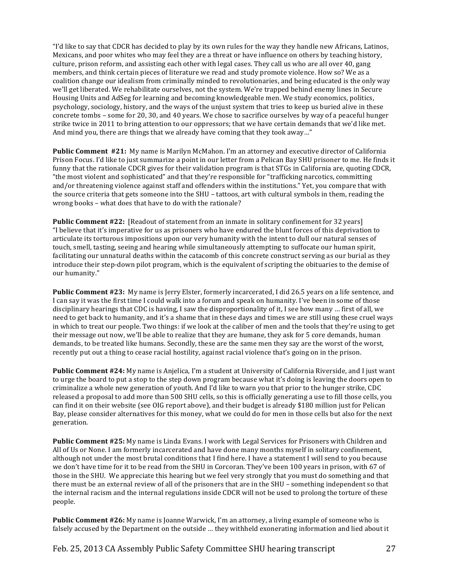"I'd like to say that CDCR has decided to play by its own rules for the way they handle new Africans, Latinos, Mexicans, and poor whites who may feel they are a threat or have influence on others by teaching history, culture, prison reform, and assisting each other with legal cases. They call us who are all over 40, gang members, and think certain pieces of literature we read and study promote violence. How so? We as a coalition change our idealism from criminally minded to revolutionaries, and being educated is the only way we'll get liberated. We rehabilitate ourselves, not the system. We're trapped behind enemy lines in Secure Housing Units and AdSeg for learning and becoming knowledgeable men. We study economics, politics, psychology, sociology, history, and the ways of the unjust system that tries to keep us buried alive in these concrete tombs – some for 20, 30, and 40 years. We chose to sacrifice ourselves by way of a peaceful hunger strike twice in 2011 to bring attention to our oppressors; that we have certain demands that we'd like met. And mind you, there are things that we already have coming that they took away..."

**Public Comment #21:** My name is Marilyn McMahon. I'm an attorney and executive director of California Prison Focus. I'd like to just summarize a point in our letter from a Pelican Bay SHU prisoner to me. He finds it funny that the rationale CDCR gives for their validation program is that STGs in California are, quoting CDCR, "the most violent and sophisticated" and that they're responsible for "trafficking narcotics, committing and/or threatening violence against staff and offenders within the institutions." Yet, you compare that with the source criteria that gets someone into the SHU – tattoos, art with cultural symbols in them, reading the wrong books – what does that have to do with the rationale?

**Public Comment #22:** [Readout of statement from an inmate in solitary confinement for 32 years] "I believe that it's imperative for us as prisoners who have endured the blunt forces of this deprivation to articulate its torturous impositions upon our very humanity with the intent to dull our natural senses of touch, smell, tasting, seeing and hearing while simultaneously attempting to suffocate our human spirit, facilitating our unnatural deaths within the catacomb of this concrete construct serving as our burial as they introduce their step-down pilot program, which is the equivalent of scripting the obituaries to the demise of our humanity."

**Public Comment #23:** My name is Jerry Elster, formerly incarcerated, I did 26.5 years on a life sentence, and I can say it was the first time I could walk into a forum and speak on humanity. I've been in some of those disciplinary hearings that CDC is having, I saw the disproportionality of it, I see how many … first of all, we need to get back to humanity, and it's a shame that in these days and times we are still using these cruel ways in which to treat our people. Two things: if we look at the caliber of men and the tools that they're using to get their message out now, we'll be able to realize that they are humane, they ask for 5 core demands, human demands, to be treated like humans. Secondly, these are the same men they say are the worst of the worst, recently put out a thing to cease racial hostility, against racial violence that's going on in the prison.

**Public Comment #24:** My name is Anjelica, I'm a student at University of California Riverside, and I just want to urge the board to put a stop to the step down program because what it's doing is leaving the doors open to criminalize a whole new generation of youth. And I'd like to warn you that prior to the hunger strike, CDC released a proposal to add more than 500 SHU cells, so this is officially generating a use to fill those cells, you can find it on their website (see OIG report above), and their budget is already \$180 million just for Pelican Bay, please consider alternatives for this money, what we could do for men in those cells but also for the next generation.

**Public Comment #25:** My name is Linda Evans. I work with Legal Services for Prisoners with Children and All of Us or None. I am formerly incarcerated and have done many months myself in solitary confinement, although not under the most brutal conditions that I find here. I have a statement I will send to you because we don't have time for it to be read from the SHU in Corcoran. They've been 100 years in prison, with 67 of those in the SHU. We appreciate this hearing but we feel very strongly that you must do something and that there must be an external review of all of the prisoners that are in the SHU – something independent so that the internal racism and the internal regulations inside CDCR will not be used to prolong the torture of these people.

**Public Comment #26:** My name is Joanne Warwick, I'm an attorney, a living example of someone who is falsely accused by the Department on the outside … they withheld exonerating information and lied about it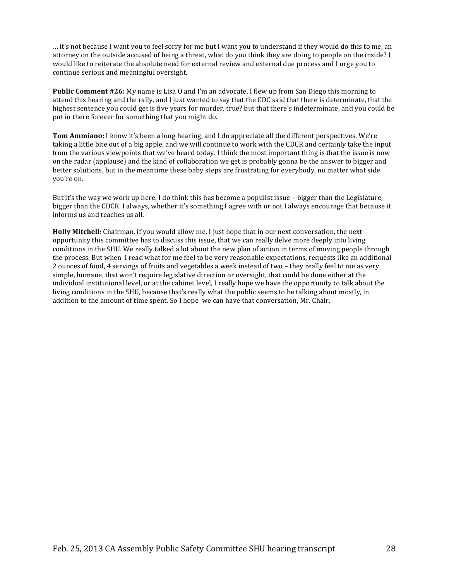... it's not because I want you to feel sorry for me but I want you to understand if they would do this to me, an attorney on the outside accused of being a threat, what do you think they are doing to people on the inside? I would like to reiterate the absolute need for external review and external due process and I urge you to continue serious and meaningful oversight.

**Public Comment #26:** My name is Lisa O and I'm an advocate, I flew up from San Diego this morning to attend this hearing and the rally, and I just wanted to say that the CDC said that there is determinate, that the highest sentence you could get is five years for murder, true? but that there's indeterminate, and you could be put in there forever for something that you might do.

**Tom Ammiano:** I know it's been a long hearing, and I do appreciate all the different perspectives. We're taking a little bite out of a big apple, and we will continue to work with the CDCR and certainly take the input from the various viewpoints that we've heard today. I think the most important thing is that the issue is now on the radar (applause) and the kind of collaboration we get is probably gonna be the answer to bigger and better solutions, but in the meantime these baby steps are frustrating for everybody, no matter what side you're on.

But it's the way we work up here. I do think this has become a populist issue – bigger than the Legislature, bigger than the CDCR. I always, whether it's something I agree with or not I always encourage that because it informs us and teaches us all.

**Holly Mitchell:** Chairman, if you would allow me, I just hope that in our next conversation, the next opportunity this committee has to discuss this issue, that we can really delve more deeply into living conditions in the SHU. We really talked a lot about the new plan of action in terms of moving people through the process. But when I read what for me feel to be very reasonable expectations, requests like an additional 2 ounces of food, 4 servings of fruits and vegetables a week instead of two – they really feel to me as very simple, humane, that won't require legislative direction or oversight, that could be done either at the individual institutional level, or at the cabinet level, I really hope we have the opportunity to talk about the living conditions in the SHU, because that's really what the public seems to be talking about mostly, in addition to the amount of time spent. So I hope we can have that conversation, Mr. Chair.